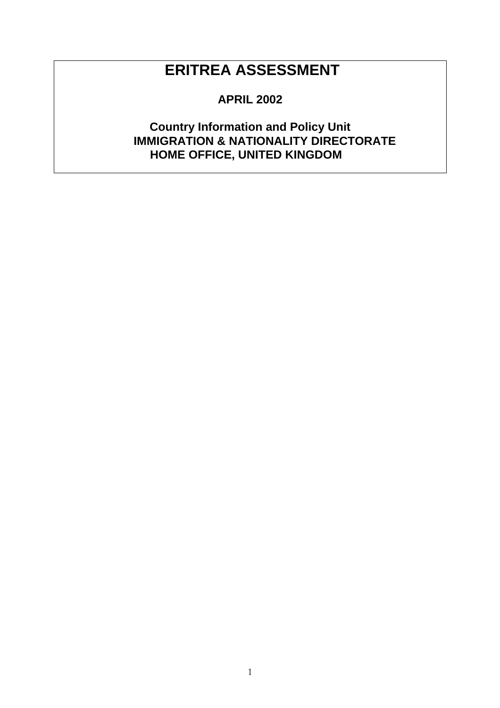# **ERITREA ASSESSMENT**

**APRIL 2002** 

**Country Information and Policy Unit IMMIGRATION & NATIONALITY DIRECTORATE HOME OFFICE, UNITED KINGDOM**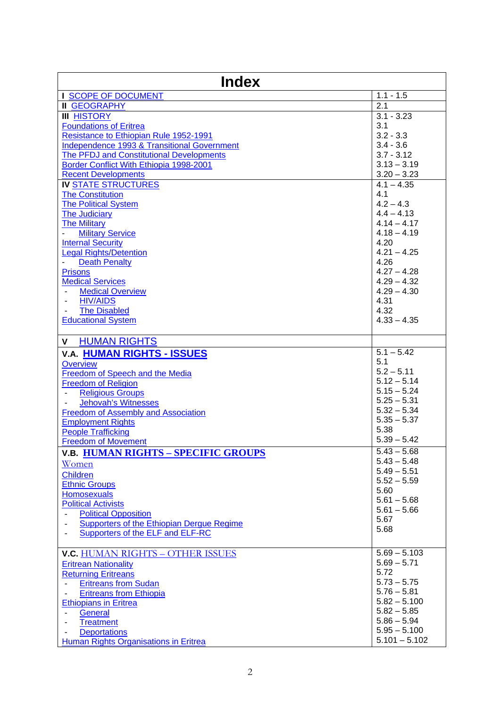| <b>Index</b>                                                        |                 |
|---------------------------------------------------------------------|-----------------|
| <b>I SCOPE OF DOCUMENT</b>                                          | $1.1 - 1.5$     |
| <b>II GEOGRAPHY</b>                                                 | 2.1             |
| <b>III HISTORY</b>                                                  | $3.1 - 3.23$    |
| <b>Foundations of Eritrea</b>                                       | 3.1             |
| Resistance to Ethiopian Rule 1952-1991                              | $3.2 - 3.3$     |
| Independence 1993 & Transitional Government                         | $3.4 - 3.6$     |
| The PFDJ and Constitutional Developments                            | $3.7 - 3.12$    |
| Border Conflict With Ethiopia 1998-2001                             | $3.13 - 3.19$   |
| <b>Recent Developments</b>                                          | $3.20 - 3.23$   |
| <b>IV STATE STRUCTURES</b>                                          | $4.1 - 4.35$    |
| <b>The Constitution</b>                                             | 4.1             |
| <b>The Political System</b>                                         | $4.2 - 4.3$     |
| <b>The Judiciary</b>                                                | $4.4 - 4.13$    |
| <b>The Military</b>                                                 | $4.14 - 4.17$   |
| <b>Military Service</b>                                             | $4.18 - 4.19$   |
| <b>Internal Security</b>                                            | 4.20            |
| <b>Legal Rights/Detention</b>                                       | $4.21 - 4.25$   |
| <b>Death Penalty</b>                                                | 4.26            |
| <b>Prisons</b>                                                      | $4.27 - 4.28$   |
| <b>Medical Services</b>                                             | $4.29 - 4.32$   |
| <b>Medical Overview</b><br>$\sim$                                   | $4.29 - 4.30$   |
| <b>HIV/AIDS</b><br>$\sim$                                           | 4.31            |
| <b>The Disabled</b>                                                 | 4.32            |
| <b>Educational System</b>                                           | $4.33 - 4.35$   |
|                                                                     |                 |
| <b>v</b> HUMAN RIGHTS                                               |                 |
| <b>V.A. HUMAN RIGHTS - ISSUES</b>                                   | $5.1 - 5.42$    |
| <b>Overview</b>                                                     | 5.1             |
| Freedom of Speech and the Media                                     | $5.2 - 5.11$    |
| <b>Freedom of Religion</b>                                          | $5.12 - 5.14$   |
| <b>Religious Groups</b><br>$\sim$                                   | $5.15 - 5.24$   |
| <b>Jehovah's Witnesses</b>                                          | $5.25 - 5.31$   |
| Freedom of Assembly and Association                                 | $5.32 - 5.34$   |
| <b>Employment Rights</b>                                            | $5.35 - 5.37$   |
| <b>People Trafficking</b>                                           | 5.38            |
| <b>Freedom of Movement</b>                                          | $5.39 - 5.42$   |
| <b>V.B. HUMAN RIGHTS - SPECIFIC GROUPS</b>                          | $5.43 - 5.68$   |
| Women                                                               | $5.43 - 5.48$   |
| <b>Children</b>                                                     | $5.49 - 5.51$   |
| <b>Ethnic Groups</b>                                                | $5.52 - 5.59$   |
| <b>Homosexuals</b>                                                  | 5.60            |
| <b>Political Activists</b>                                          | $5.61 - 5.68$   |
| <b>Political Opposition</b>                                         | $5.61 - 5.66$   |
| <b>Supporters of the Ethiopian Dergue Regime</b>                    | 5.67            |
| Supporters of the ELF and ELF-RC                                    | 5.68            |
|                                                                     |                 |
| <b>V.C. HUMAN RIGHTS - OTHER ISSUES</b>                             | $5.69 - 5.103$  |
| <b>Eritrean Nationality</b>                                         | $5.69 - 5.71$   |
| <b>Returning Eritreans</b>                                          | 5.72            |
| <b>Eritreans from Sudan</b><br>$\overline{\phantom{a}}$             | $5.73 - 5.75$   |
| <b>Eritreans from Ethiopia</b>                                      | $5.76 - 5.81$   |
| <b>Ethiopians in Eritrea</b>                                        | $5.82 - 5.100$  |
| General                                                             | $5.82 - 5.85$   |
|                                                                     | $5.86 - 5.94$   |
| <b>Treatment</b><br>$\overline{\phantom{a}}$<br><b>Deportations</b> | $5.95 - 5.100$  |
| Human Rights Organisations in Eritrea                               | $5.101 - 5.102$ |
|                                                                     |                 |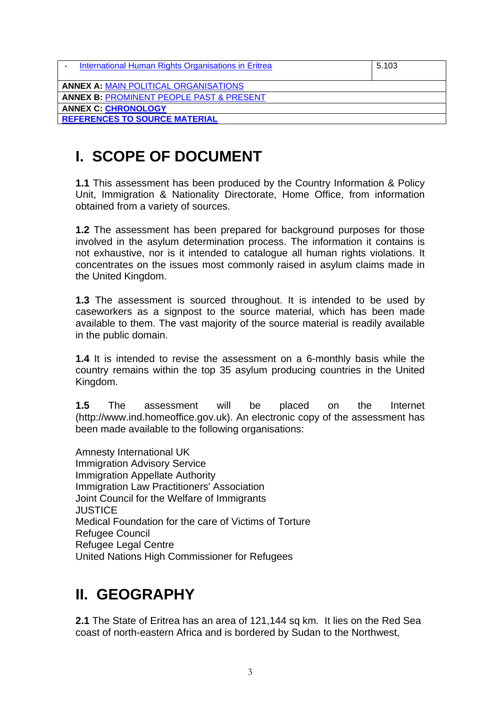<span id="page-2-0"></span>

| International Human Rights Organisations in Eritrea | 5.103 |
|-----------------------------------------------------|-------|
| <b>ANNEX A: MAIN POLITICAL ORGANISATIONS</b>        |       |
| <b>ANNEX B: PROMINENT PEOPLE PAST &amp; PRESENT</b> |       |
| <b>ANNEX C: CHRONOLOGY</b>                          |       |
| <b>REFERENCES TO SOURCE MATERIAL</b>                |       |

# **I. SCOPE OF DOCUMENT**

**1.1** This assessment has been produced by the Country Information & Policy Unit, Immigration & Nationality Directorate, Home Office, from information obtained from a variety of sources.

**1.2** The assessment has been prepared for background purposes for those involved in the asylum determination process. The information it contains is not exhaustive, nor is it intended to catalogue all human rights violations. It concentrates on the issues most commonly raised in asylum claims made in the United Kingdom.

**1.3** The assessment is sourced throughout. It is intended to be used by caseworkers as a signpost to the source material, which has been made available to them. The vast majority of the source material is readily available in the public domain.

**1.4** It is intended to revise the assessment on a 6-monthly basis while the country remains within the top 35 asylum producing countries in the United Kingdom.

**1.5** The assessment will be placed on the Internet (http://www.ind.homeoffice.gov.uk). An electronic copy of the assessment has been made available to the following organisations:

Amnesty International UK Immigration Advisory Service Immigration Appellate Authority Immigration Law Practitioners' Association Joint Council for the Welfare of Immigrants **JUSTICE** Medical Foundation for the care of Victims of Torture Refugee Council Refugee Legal Centre United Nations High Commissioner for Refugees

# **II. GEOGRAPHY**

**2.1** The State of Eritrea has an area of 121,144 sq km. It lies on the Red Sea coast of north-eastern Africa and is bordered by Sudan to the Northwest,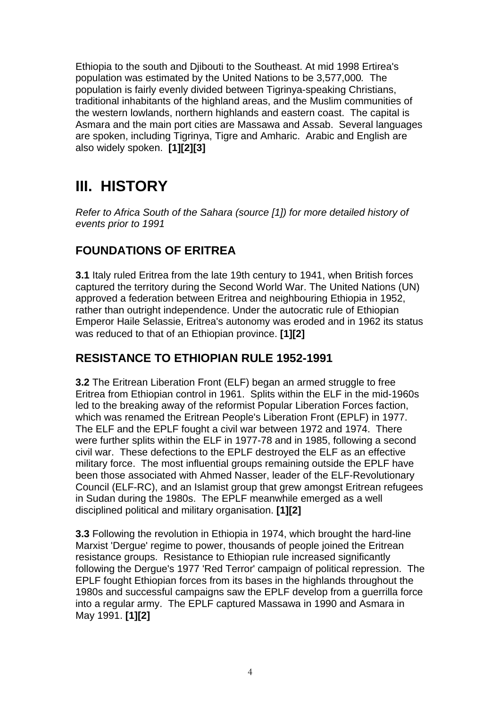<span id="page-3-0"></span>Ethiopia to the south and Djibouti to the Southeast. At mid 1998 Ertirea's population was estimated by the United Nations to be 3,577,000*.* The population is fairly evenly divided between Tigrinya-speaking Christians, traditional inhabitants of the highland areas, and the Muslim communities of the western lowlands, northern highlands and eastern coast. The capital is Asmara and the main port cities are Massawa and Assab. Several languages are spoken, including Tigrinya, Tigre and Amharic. Arabic and English are also widely spoken. **[1][2][3]** 

# **III. HISTORY**

*Refer to Africa South of the Sahara (source [1]) for more detailed history of events prior to 1991* 

## **FOUNDATIONS OF ERITREA**

**3.1** Italy ruled Eritrea from the late 19th century to 1941, when British forces captured the territory during the Second World War. The United Nations (UN) approved a federation between Eritrea and neighbouring Ethiopia in 1952, rather than outright independence. Under the autocratic rule of Ethiopian Emperor Haile Selassie, Eritrea's autonomy was eroded and in 1962 its status was reduced to that of an Ethiopian province. **[1][2]** 

## **RESISTANCE TO ETHIOPIAN RULE 1952-1991**

**3.2** The Eritrean Liberation Front (ELF) began an armed struggle to free Eritrea from Ethiopian control in 1961. Splits within the ELF in the mid-1960s led to the breaking away of the reformist Popular Liberation Forces faction, which was renamed the Eritrean People's Liberation Front (EPLF) in 1977. The ELF and the EPLF fought a civil war between 1972 and 1974. There were further splits within the ELF in 1977-78 and in 1985, following a second civil war. These defections to the EPLF destroyed the ELF as an effective military force. The most influential groups remaining outside the EPLF have been those associated with Ahmed Nasser, leader of the ELF-Revolutionary Council (ELF-RC), and an Islamist group that grew amongst Eritrean refugees in Sudan during the 1980s. The EPLF meanwhile emerged as a well disciplined political and military organisation. **[1][2]**

**3.3** Following the revolution in Ethiopia in 1974, which brought the hard-line Marxist 'Dergue' regime to power, thousands of people joined the Eritrean resistance groups. Resistance to Ethiopian rule increased significantly following the Dergue's 1977 'Red Terror' campaign of political repression. The EPLF fought Ethiopian forces from its bases in the highlands throughout the 1980s and successful campaigns saw the EPLF develop from a guerrilla force into a regular army. The EPLF captured Massawa in 1990 and Asmara in May 1991. **[1][2]**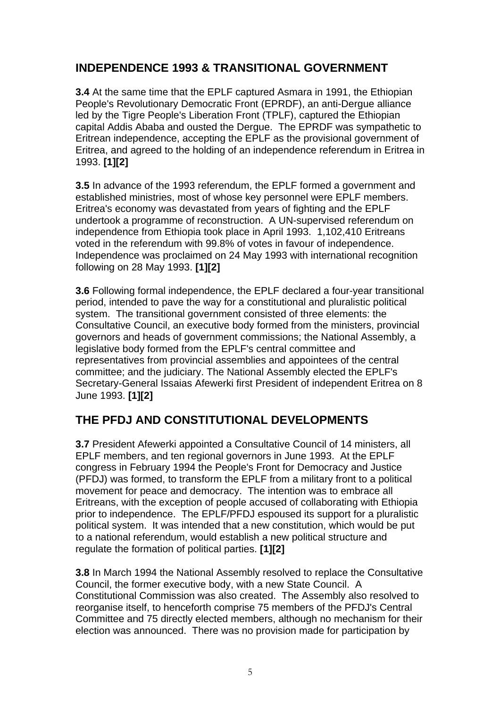## <span id="page-4-0"></span>**INDEPENDENCE 1993 & TRANSITIONAL GOVERNMENT**

**3.4** At the same time that the EPLF captured Asmara in 1991, the Ethiopian People's Revolutionary Democratic Front (EPRDF), an anti-Dergue alliance led by the Tigre People's Liberation Front (TPLF), captured the Ethiopian capital Addis Ababa and ousted the Dergue. The EPRDF was sympathetic to Eritrean independence, accepting the EPLF as the provisional government of Eritrea, and agreed to the holding of an independence referendum in Eritrea in 1993. **[1][2]**

**3.5** In advance of the 1993 referendum, the EPLF formed a government and established ministries, most of whose key personnel were EPLF members. Eritrea's economy was devastated from years of fighting and the EPLF undertook a programme of reconstruction. A UN-supervised referendum on independence from Ethiopia took place in April 1993. 1,102,410 Eritreans voted in the referendum with 99.8% of votes in favour of independence. Independence was proclaimed on 24 May 1993 with international recognition following on 28 May 1993. **[1][2]**

**3.6** Following formal independence, the EPLF declared a four-year transitional period, intended to pave the way for a constitutional and pluralistic political system. The transitional government consisted of three elements: the Consultative Council, an executive body formed from the ministers, provincial governors and heads of government commissions; the National Assembly, a legislative body formed from the EPLF's central committee and representatives from provincial assemblies and appointees of the central committee; and the judiciary. The National Assembly elected the EPLF's Secretary-General Issaias Afewerki first President of independent Eritrea on 8 June 1993. **[1][2]**

## **THE PFDJ AND CONSTITUTIONAL DEVELOPMENTS**

**3.7** President Afewerki appointed a Consultative Council of 14 ministers, all EPLF members, and ten regional governors in June 1993. At the EPLF congress in February 1994 the People's Front for Democracy and Justice (PFDJ) was formed, to transform the EPLF from a military front to a political movement for peace and democracy. The intention was to embrace all Eritreans, with the exception of people accused of collaborating with Ethiopia prior to independence. The EPLF/PFDJ espoused its support for a pluralistic political system. It was intended that a new constitution, which would be put to a national referendum, would establish a new political structure and regulate the formation of political parties. **[1][2]**

**3.8** In March 1994 the National Assembly resolved to replace the Consultative Council, the former executive body, with a new State Council. A Constitutional Commission was also created. The Assembly also resolved to reorganise itself, to henceforth comprise 75 members of the PFDJ's Central Committee and 75 directly elected members, although no mechanism for their election was announced. There was no provision made for participation by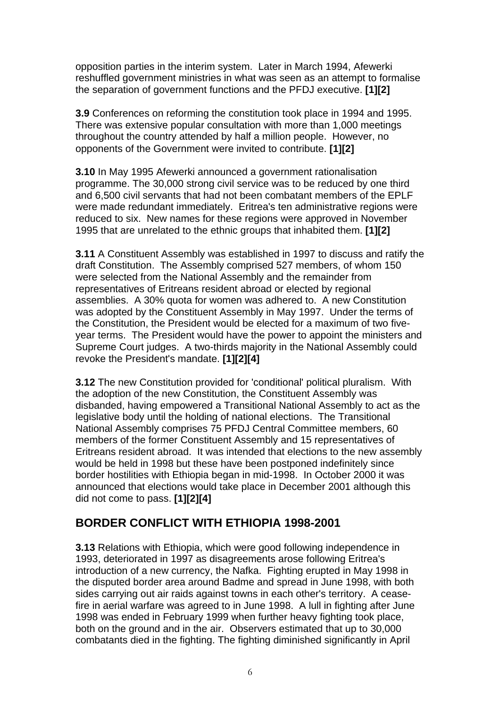<span id="page-5-0"></span>opposition parties in the interim system. Later in March 1994, Afewerki reshuffled government ministries in what was seen as an attempt to formalise the separation of government functions and the PFDJ executive. **[1][2]**

**3.9** Conferences on reforming the constitution took place in 1994 and 1995. There was extensive popular consultation with more than 1,000 meetings throughout the country attended by half a million people. However, no opponents of the Government were invited to contribute. **[1][2]**

**3.10** In May 1995 Afewerki announced a government rationalisation programme. The 30,000 strong civil service was to be reduced by one third and 6,500 civil servants that had not been combatant members of the EPLF were made redundant immediately. Eritrea's ten administrative regions were reduced to six. New names for these regions were approved in November 1995 that are unrelated to the ethnic groups that inhabited them. **[1][2]**

**3.11** A Constituent Assembly was established in 1997 to discuss and ratify the draft Constitution. The Assembly comprised 527 members, of whom 150 were selected from the National Assembly and the remainder from representatives of Eritreans resident abroad or elected by regional assemblies. A 30% quota for women was adhered to. A new Constitution was adopted by the Constituent Assembly in May 1997. Under the terms of the Constitution, the President would be elected for a maximum of two fiveyear terms. The President would have the power to appoint the ministers and Supreme Court judges. A two-thirds majority in the National Assembly could revoke the President's mandate. **[1][2][4]**

**3.12** The new Constitution provided for 'conditional' political pluralism. With the adoption of the new Constitution, the Constituent Assembly was disbanded, having empowered a Transitional National Assembly to act as the legislative body until the holding of national elections. The Transitional National Assembly comprises 75 PFDJ Central Committee members, 60 members of the former Constituent Assembly and 15 representatives of Eritreans resident abroad. It was intended that elections to the new assembly would be held in 1998 but these have been postponed indefinitely since border hostilities with Ethiopia began in mid-1998. In October 2000 it was announced that elections would take place in December 2001 although this did not come to pass. **[1][2][4]**

## **BORDER CONFLICT WITH ETHIOPIA 1998-2001**

**3.13** Relations with Ethiopia, which were good following independence in 1993, deteriorated in 1997 as disagreements arose following Eritrea's introduction of a new currency, the Nafka. Fighting erupted in May 1998 in the disputed border area around Badme and spread in June 1998, with both sides carrying out air raids against towns in each other's territory. A ceasefire in aerial warfare was agreed to in June 1998. A lull in fighting after June 1998 was ended in February 1999 when further heavy fighting took place, both on the ground and in the air. Observers estimated that up to 30,000 combatants died in the fighting. The fighting diminished significantly in April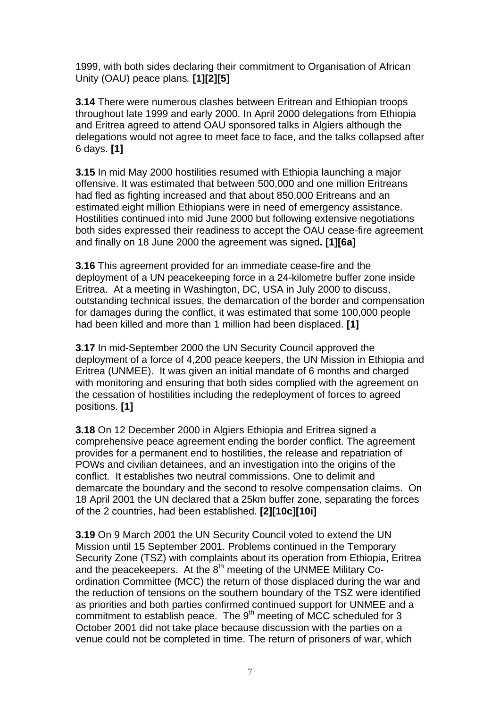1999, with both sides declaring their commitment to Organisation of African Unity (OAU) peace plans*.* **[1][2][5]**

**3.14** There were numerous clashes between Eritrean and Ethiopian troops throughout late 1999 and early 2000. In April 2000 delegations from Ethiopia and Eritrea agreed to attend OAU sponsored talks in Algiers although the delegations would not agree to meet face to face, and the talks collapsed after 6 days. **[1]**

**3.15** In mid May 2000 hostilities resumed with Ethiopia launching a major offensive. It was estimated that between 500,000 and one million Eritreans had fled as fighting increased and that about 850,000 Eritreans and an estimated eight million Ethiopians were in need of emergency assistance. Hostilities continued into mid June 2000 but following extensive negotiations both sides expressed their readiness to accept the OAU cease-fire agreement and finally on 18 June 2000 the agreement was signed**. [1][6a]**

**3.16** This agreement provided for an immediate cease-fire and the deployment of a UN peacekeeping force in a 24-kilometre buffer zone inside Eritrea. At a meeting in Washington, DC, USA in July 2000 to discuss, outstanding technical issues, the demarcation of the border and compensation for damages during the conflict, it was estimated that some 100,000 people had been killed and more than 1 million had been displaced. **[1]**

**3.17** In mid-September 2000 the UN Security Council approved the deployment of a force of 4,200 peace keepers, the UN Mission in Ethiopia and Eritrea (UNMEE). It was given an initial mandate of 6 months and charged with monitoring and ensuring that both sides complied with the agreement on the cessation of hostilities including the redeployment of forces to agreed positions. **[1]**

**3.18** On 12 December 2000 in Algiers Ethiopia and Eritrea signed a comprehensive peace agreement ending the border conflict. The agreement provides for a permanent end to hostilities, the release and repatriation of POWs and civilian detainees, and an investigation into the origins of the conflict. It establishes two neutral commissions. One to delimit and demarcate the boundary and the second to resolve compensation claims. On 18 April 2001 the UN declared that a 25km buffer zone, separating the forces of the 2 countries, had been established. **[2][10c][10i]**

**3.19** On 9 March 2001 the UN Security Council voted to extend the UN Mission until 15 September 2001. Problems continued in the Temporary Security Zone (TSZ) with complaints about its operation from Ethiopia, Eritrea and the peacekeepers. At the  $8<sup>th</sup>$  meeting of the UNMEE Military Coordination Committee (MCC) the return of those displaced during the war and the reduction of tensions on the southern boundary of the TSZ were identified as priorities and both parties confirmed continued support for UNMEE and a commitment to establish peace. The 9<sup>th</sup> meeting of MCC scheduled for 3 October 2001 did not take place because discussion with the parties on a venue could not be completed in time. The return of prisoners of war, which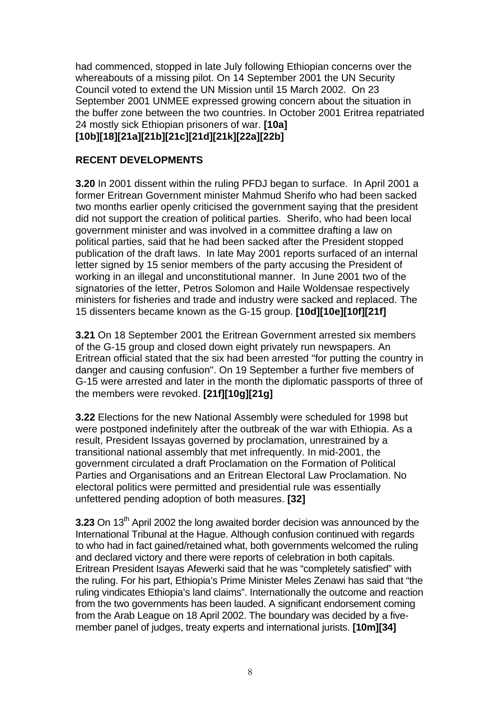<span id="page-7-0"></span>had commenced, stopped in late July following Ethiopian concerns over the whereabouts of a missing pilot. On 14 September 2001 the UN Security Council voted to extend the UN Mission until 15 March 2002. On 23 September 2001 UNMEE expressed growing concern about the situation in the buffer zone between the two countries. In October 2001 Eritrea repatriated 24 mostly sick Ethiopian prisoners of war. **[10a]** 

# **[10b][18][21a][21b][21c][21d][21k][22a][22b]**

#### **RECENT DEVELOPMENTS**

**3.20** In 2001 dissent within the ruling PFDJ began to surface. In April 2001 a former Eritrean Government minister Mahmud Sherifo who had been sacked two months earlier openly criticised the government saying that the president did not support the creation of political parties. Sherifo, who had been local government minister and was involved in a committee drafting a law on political parties, said that he had been sacked after the President stopped publication of the draft laws. In late May 2001 reports surfaced of an internal letter signed by 15 senior members of the party accusing the President of working in an illegal and unconstitutional manner. In June 2001 two of the signatories of the letter, Petros Solomon and Haile Woldensae respectively ministers for fisheries and trade and industry were sacked and replaced. The 15 dissenters became known as the G-15 group. **[10d][10e][10f][21f]** 

**3.21** On 18 September 2001 the Eritrean Government arrested six members of the G-15 group and closed down eight privately run newspapers. An Eritrean official stated that the six had been arrested "for putting the country in danger and causing confusion". On 19 September a further five members of G-15 were arrested and later in the month the diplomatic passports of three of the members were revoked. **[21f][10g][21g]** 

**3.22** Elections for the new National Assembly were scheduled for 1998 but were postponed indefinitely after the outbreak of the war with Ethiopia. As a result, President Issayas governed by proclamation, unrestrained by a transitional national assembly that met infrequently. In mid-2001, the government circulated a draft Proclamation on the Formation of Political Parties and Organisations and an Eritrean Electoral Law Proclamation. No electoral politics were permitted and presidential rule was essentially unfettered pending adoption of both measures. **[32]** 

**3.23** On 13<sup>th</sup> April 2002 the long awaited border decision was announced by the International Tribunal at the Hague. Although confusion continued with regards to who had in fact gained/retained what, both governments welcomed the ruling and declared victory and there were reports of celebration in both capitals. Eritrean President Isayas Afewerki said that he was "completely satisfied" with the ruling. For his part, Ethiopia's Prime Minister Meles Zenawi has said that "the ruling vindicates Ethiopia's land claims". Internationally the outcome and reaction from the two governments has been lauded. A significant endorsement coming from the Arab League on 18 April 2002. The boundary was decided by a fivemember panel of judges, treaty experts and international jurists. **[10m][34]**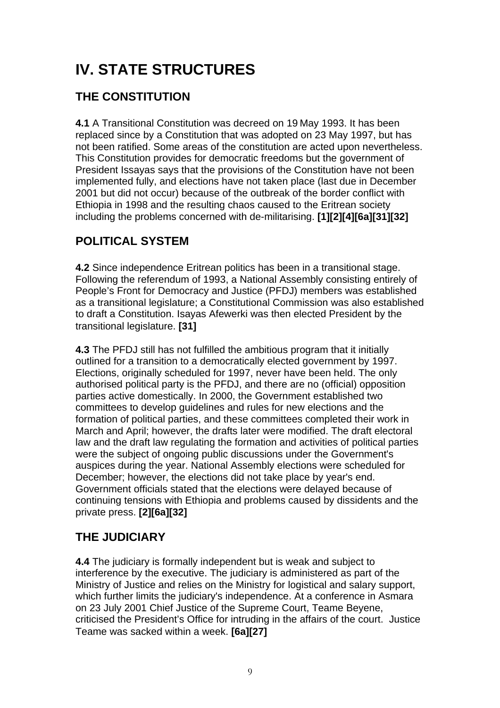# <span id="page-8-0"></span>**IV. STATE STRUCTURES**

# **THE CONSTITUTION**

**4.1** A Transitional Constitution was decreed on 19 May 1993. It has been replaced since by a Constitution that was adopted on 23 May 1997, but has not been ratified. Some areas of the constitution are acted upon nevertheless. This Constitution provides for democratic freedoms but the government of President Issayas says that the provisions of the Constitution have not been implemented fully, and elections have not taken place (last due in December 2001 but did not occur) because of the outbreak of the border conflict with Ethiopia in 1998 and the resulting chaos caused to the Eritrean society including the problems concerned with de-militarising. **[1][2][4][6a][31][32]** 

# **POLITICAL SYSTEM**

**4.2** Since independence Eritrean politics has been in a transitional stage. Following the referendum of 1993, a National Assembly consisting entirely of People's Front for Democracy and Justice (PFDJ) members was established as a transitional legislature; a Constitutional Commission was also established to draft a Constitution. Isayas Afewerki was then elected President by the transitional legislature. **[31]**

**4.3** The PFDJ still has not fulfilled the ambitious program that it initially outlined for a transition to a democratically elected government by 1997. Elections, originally scheduled for 1997, never have been held. The only authorised political party is the PFDJ, and there are no (official) opposition parties active domestically. In 2000, the Government established two committees to develop guidelines and rules for new elections and the formation of political parties, and these committees completed their work in March and April; however, the drafts later were modified. The draft electoral law and the draft law regulating the formation and activities of political parties were the subject of ongoing public discussions under the Government's auspices during the year. National Assembly elections were scheduled for December; however, the elections did not take place by year's end. Government officials stated that the elections were delayed because of continuing tensions with Ethiopia and problems caused by dissidents and the private press. **[2][6a][32]** 

# **THE JUDICIARY**

**4.4** The judiciary is formally independent but is weak and subject to interference by the executive. The judiciary is administered as part of the Ministry of Justice and relies on the Ministry for logistical and salary support. which further limits the judiciary's independence. At a conference in Asmara on 23 July 2001 Chief Justice of the Supreme Court, Teame Beyene, criticised the President's Office for intruding in the affairs of the court. Justice Teame was sacked within a week. **[6a][27]**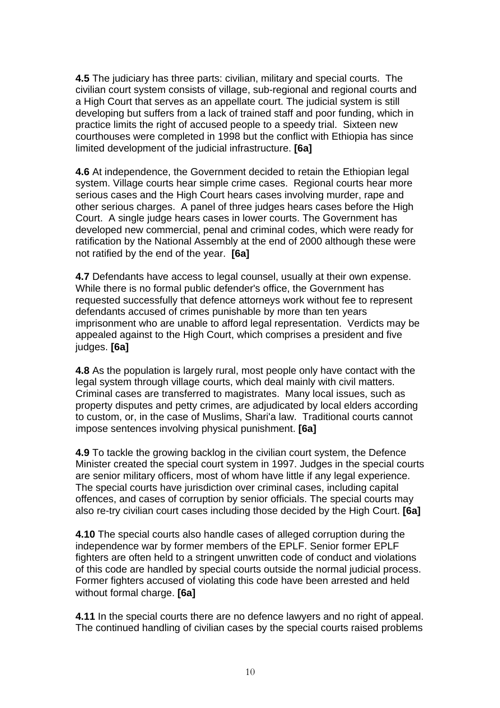**4.5** The judiciary has three parts: civilian, military and special courts. The civilian court system consists of village, sub-regional and regional courts and a High Court that serves as an appellate court. The judicial system is still developing but suffers from a lack of trained staff and poor funding, which in practice limits the right of accused people to a speedy trial. Sixteen new courthouses were completed in 1998 but the conflict with Ethiopia has since limited development of the judicial infrastructure. **[6a]**

**4.6** At independence, the Government decided to retain the Ethiopian legal system. Village courts hear simple crime cases. Regional courts hear more serious cases and the High Court hears cases involving murder, rape and other serious charges. A panel of three judges hears cases before the High Court. A single judge hears cases in lower courts. The Government has developed new commercial, penal and criminal codes, which were ready for ratification by the National Assembly at the end of 2000 although these were not ratified by the end of the year. **[6a]**

**4.7** Defendants have access to legal counsel, usually at their own expense. While there is no formal public defender's office, the Government has requested successfully that defence attorneys work without fee to represent defendants accused of crimes punishable by more than ten years imprisonment who are unable to afford legal representation. Verdicts may be appealed against to the High Court, which comprises a president and five judges. **[6a]** 

**4.8** As the population is largely rural, most people only have contact with the legal system through village courts, which deal mainly with civil matters. Criminal cases are transferred to magistrates. Many local issues, such as property disputes and petty crimes, are adjudicated by local elders according to custom, or, in the case of Muslims, Shari'a law. Traditional courts cannot impose sentences involving physical punishment. **[6a]** 

**4.9** To tackle the growing backlog in the civilian court system, the Defence Minister created the special court system in 1997. Judges in the special courts are senior military officers, most of whom have little if any legal experience. The special courts have jurisdiction over criminal cases, including capital offences, and cases of corruption by senior officials. The special courts may also re-try civilian court cases including those decided by the High Court. **[6a]**

**4.10** The special courts also handle cases of alleged corruption during the independence war by former members of the EPLF. Senior former EPLF fighters are often held to a stringent unwritten code of conduct and violations of this code are handled by special courts outside the normal judicial process. Former fighters accused of violating this code have been arrested and held without formal charge. **[6a]**

**4.11** In the special courts there are no defence lawyers and no right of appeal. The continued handling of civilian cases by the special courts raised problems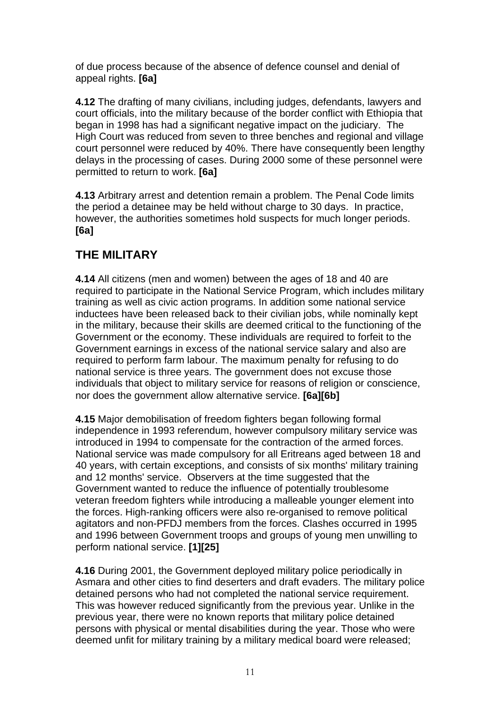<span id="page-10-0"></span>of due process because of the absence of defence counsel and denial of appeal rights. **[6a]**

**4.12** The drafting of many civilians, including judges, defendants, lawyers and court officials, into the military because of the border conflict with Ethiopia that began in 1998 has had a significant negative impact on the judiciary. The High Court was reduced from seven to three benches and regional and village court personnel were reduced by 40%. There have consequently been lengthy delays in the processing of cases. During 2000 some of these personnel were permitted to return to work. **[6a]**

**4.13** Arbitrary arrest and detention remain a problem. The Penal Code limits the period a detainee may be held without charge to 30 days. In practice, however, the authorities sometimes hold suspects for much longer periods. **[6a]** 

## **THE MILITARY**

**4.14** All citizens (men and women) between the ages of 18 and 40 are required to participate in the National Service Program, which includes military training as well as civic action programs. In addition some national service inductees have been released back to their civilian jobs, while nominally kept in the military, because their skills are deemed critical to the functioning of the Government or the economy. These individuals are required to forfeit to the Government earnings in excess of the national service salary and also are required to perform farm labour. The maximum penalty for refusing to do national service is three years. The government does not excuse those individuals that object to military service for reasons of religion or conscience, nor does the government allow alternative service. **[6a][6b]** 

**4.15** Major demobilisation of freedom fighters began following formal independence in 1993 referendum, however compulsory military service was introduced in 1994 to compensate for the contraction of the armed forces. National service was made compulsory for all Eritreans aged between 18 and 40 years, with certain exceptions, and consists of six months' military training and 12 months' service. Observers at the time suggested that the Government wanted to reduce the influence of potentially troublesome veteran freedom fighters while introducing a malleable younger element into the forces. High-ranking officers were also re-organised to remove political agitators and non-PFDJ members from the forces. Clashes occurred in 1995 and 1996 between Government troops and groups of young men unwilling to perform national service. **[1][25]** 

**4.16** During 2001, the Government deployed military police periodically in Asmara and other cities to find deserters and draft evaders. The military police detained persons who had not completed the national service requirement. This was however reduced significantly from the previous year. Unlike in the previous year, there were no known reports that military police detained persons with physical or mental disabilities during the year. Those who were deemed unfit for military training by a military medical board were released;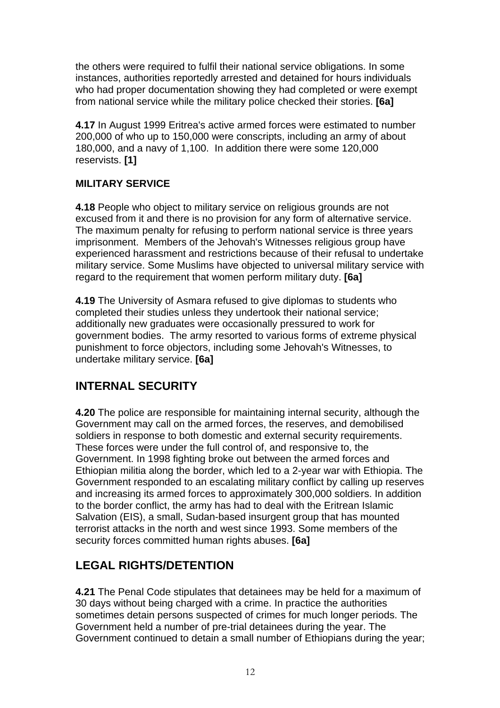<span id="page-11-0"></span>the others were required to fulfil their national service obligations. In some instances, authorities reportedly arrested and detained for hours individuals who had proper documentation showing they had completed or were exempt from national service while the military police checked their stories. **[6a]**

**4.17** In August 1999 Eritrea's active armed forces were estimated to number 200,000 of who up to 150,000 were conscripts, including an army of about 180,000, and a navy of 1,100. In addition there were some 120,000 reservists. **[1]**

### **MILITARY SERVICE**

**4.18** People who object to military service on religious grounds are not excused from it and there is no provision for any form of alternative service. The maximum penalty for refusing to perform national service is three years imprisonment. Members of the Jehovah's Witnesses religious group have experienced harassment and restrictions because of their refusal to undertake military service. Some Muslims have objected to universal military service with regard to the requirement that women perform military duty. **[6a]**

**4.19** The University of Asmara refused to give diplomas to students who completed their studies unless they undertook their national service; additionally new graduates were occasionally pressured to work for government bodies. The army resorted to various forms of extreme physical punishment to force objectors, including some Jehovah's Witnesses, to undertake military service. **[6a]**

## **INTERNAL SECURITY**

**4.20** The police are responsible for maintaining internal security, although the Government may call on the armed forces, the reserves, and demobilised soldiers in response to both domestic and external security requirements. These forces were under the full control of, and responsive to, the Government. In 1998 fighting broke out between the armed forces and Ethiopian militia along the border, which led to a 2-year war with Ethiopia. The Government responded to an escalating military conflict by calling up reserves and increasing its armed forces to approximately 300,000 soldiers. In addition to the border conflict, the army has had to deal with the Eritrean Islamic Salvation (EIS), a small, Sudan-based insurgent group that has mounted terrorist attacks in the north and west since 1993. Some members of the security forces committed human rights abuses. **[6a]** 

# **LEGAL RIGHTS/DETENTION**

**4.21** The Penal Code stipulates that detainees may be held for a maximum of 30 days without being charged with a crime. In practice the authorities sometimes detain persons suspected of crimes for much longer periods. The Government held a number of pre-trial detainees during the year. The Government continued to detain a small number of Ethiopians during the year;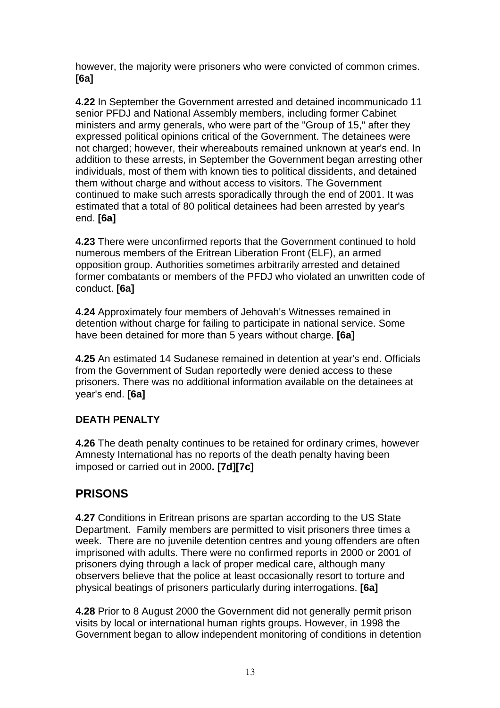<span id="page-12-0"></span>however, the majority were prisoners who were convicted of common crimes. **[6a]**

**4.22** In September the Government arrested and detained incommunicado 11 senior PFDJ and National Assembly members, including former Cabinet ministers and army generals, who were part of the "Group of 15," after they expressed political opinions critical of the Government. The detainees were not charged; however, their whereabouts remained unknown at year's end. In addition to these arrests, in September the Government began arresting other individuals, most of them with known ties to political dissidents, and detained them without charge and without access to visitors. The Government continued to make such arrests sporadically through the end of 2001. It was estimated that a total of 80 political detainees had been arrested by year's end. **[6a]**

**4.23** There were unconfirmed reports that the Government continued to hold numerous members of the Eritrean Liberation Front (ELF), an armed opposition group. Authorities sometimes arbitrarily arrested and detained former combatants or members of the PFDJ who violated an unwritten code of conduct. **[6a]** 

**4.24** Approximately four members of Jehovah's Witnesses remained in detention without charge for failing to participate in national service. Some have been detained for more than 5 years without charge. **[6a]** 

**4.25** An estimated 14 Sudanese remained in detention at year's end. Officials from the Government of Sudan reportedly were denied access to these prisoners. There was no additional information available on the detainees at year's end. **[6a]** 

## **DEATH PENALTY**

**4.26** The death penalty continues to be retained for ordinary crimes, however Amnesty International has no reports of the death penalty having been imposed or carried out in 2000**. [7d][7c]**

## **PRISONS**

**4.27** Conditions in Eritrean prisons are spartan according to the US State Department. Family members are permitted to visit prisoners three times a week. There are no juvenile detention centres and young offenders are often imprisoned with adults. There were no confirmed reports in 2000 or 2001 of prisoners dying through a lack of proper medical care, although many observers believe that the police at least occasionally resort to torture and physical beatings of prisoners particularly during interrogations. **[6a]**

**4.28** Prior to 8 August 2000 the Government did not generally permit prison visits by local or international human rights groups. However, in 1998 the Government began to allow independent monitoring of conditions in detention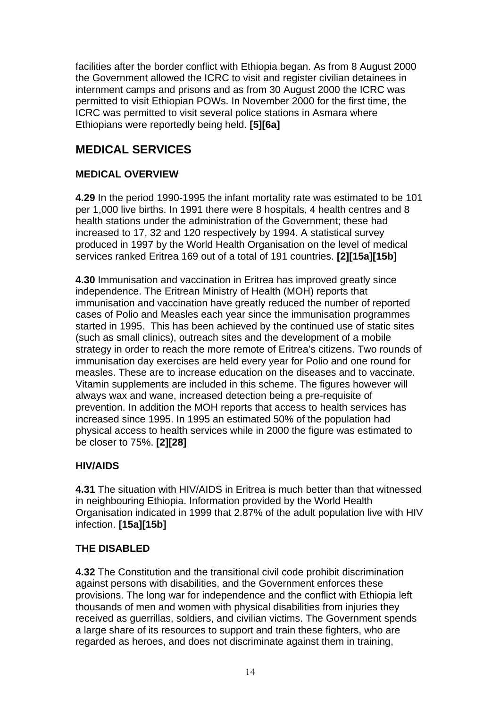<span id="page-13-0"></span>facilities after the border conflict with Ethiopia began. As from 8 August 2000 the Government allowed the ICRC to visit and register civilian detainees in internment camps and prisons and as from 30 August 2000 the ICRC was permitted to visit Ethiopian POWs. In November 2000 for the first time, the ICRC was permitted to visit several police stations in Asmara where Ethiopians were reportedly being held. **[5][6a]** 

## **MEDICAL SERVICES**

## **MEDICAL OVERVIEW**

**4.29** In the period 1990-1995 the infant mortality rate was estimated to be 101 per 1,000 live births. In 1991 there were 8 hospitals, 4 health centres and 8 health stations under the administration of the Government; these had increased to 17, 32 and 120 respectively by 1994. A statistical survey produced in 1997 by the World Health Organisation on the level of medical services ranked Eritrea 169 out of a total of 191 countries. **[2][15a][15b]**

**4.30** Immunisation and vaccination in Eritrea has improved greatly since independence. The Eritrean Ministry of Health (MOH) reports that immunisation and vaccination have greatly reduced the number of reported cases of Polio and Measles each year since the immunisation programmes started in 1995. This has been achieved by the continued use of static sites (such as small clinics), outreach sites and the development of a mobile strategy in order to reach the more remote of Eritrea's citizens. Two rounds of immunisation day exercises are held every year for Polio and one round for measles. These are to increase education on the diseases and to vaccinate. Vitamin supplements are included in this scheme. The figures however will always wax and wane, increased detection being a pre-requisite of prevention. In addition the MOH reports that access to health services has increased since 1995. In 1995 an estimated 50% of the population had physical access to health services while in 2000 the figure was estimated to be closer to 75%. **[2][28]**

## **HIV/AIDS**

**4.31** The situation with HIV/AIDS in Eritrea is much better than that witnessed in neighbouring Ethiopia. Information provided by the World Health Organisation indicated in 1999 that 2.87% of the adult population live with HIV infection. **[15a][15b]** 

## **THE DISABLED**

**4.32** The Constitution and the transitional civil code prohibit discrimination against persons with disabilities, and the Government enforces these provisions. The long war for independence and the conflict with Ethiopia left thousands of men and women with physical disabilities from injuries they received as guerrillas, soldiers, and civilian victims. The Government spends a large share of its resources to support and train these fighters, who are regarded as heroes, and does not discriminate against them in training,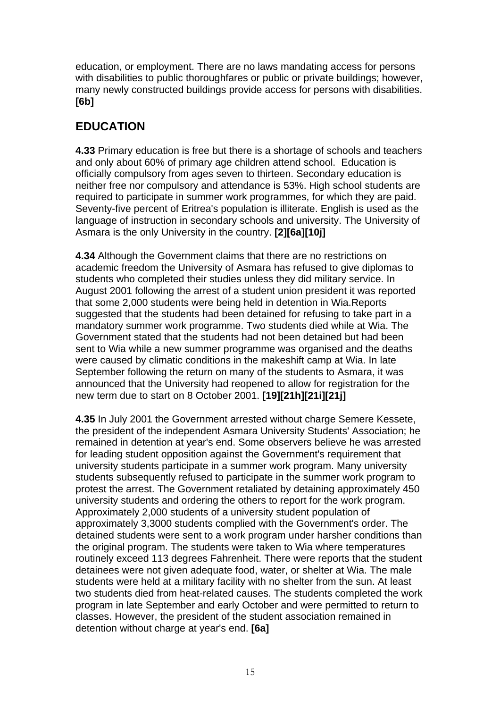<span id="page-14-0"></span>education, or employment. There are no laws mandating access for persons with disabilities to public thoroughfares or public or private buildings; however, many newly constructed buildings provide access for persons with disabilities. **[6b]** 

## **EDUCATION**

**4.33** Primary education is free but there is a shortage of schools and teachers and only about 60% of primary age children attend school. Education is officially compulsory from ages seven to thirteen. Secondary education is neither free nor compulsory and attendance is 53%. High school students are required to participate in summer work programmes, for which they are paid. Seventy-five percent of Eritrea's population is illiterate. English is used as the language of instruction in secondary schools and university. The University of Asmara is the only University in the country. **[2][6a][10j]** 

**4.34** Although the Government claims that there are no restrictions on academic freedom the University of Asmara has refused to give diplomas to students who completed their studies unless they did military service. In August 2001 following the arrest of a student union president it was reported that some 2,000 students were being held in detention in Wia.Reports suggested that the students had been detained for refusing to take part in a mandatory summer work programme. Two students died while at Wia. The Government stated that the students had not been detained but had been sent to Wia while a new summer programme was organised and the deaths were caused by climatic conditions in the makeshift camp at Wia. In late September following the return on many of the students to Asmara, it was announced that the University had reopened to allow for registration for the new term due to start on 8 October 2001. **[19][21h][21i][21j]** 

**4.35** In July 2001 the Government arrested without charge Semere Kessete, the president of the independent Asmara University Students' Association; he remained in detention at year's end. Some observers believe he was arrested for leading student opposition against the Government's requirement that university students participate in a summer work program. Many university students subsequently refused to participate in the summer work program to protest the arrest. The Government retaliated by detaining approximately 450 university students and ordering the others to report for the work program. Approximately 2,000 students of a university student population of approximately 3,3000 students complied with the Government's order. The detained students were sent to a work program under harsher conditions than the original program. The students were taken to Wia where temperatures routinely exceed 113 degrees Fahrenheit. There were reports that the student detainees were not given adequate food, water, or shelter at Wia. The male students were held at a military facility with no shelter from the sun. At least two students died from heat-related causes. The students completed the work program in late September and early October and were permitted to return to classes. However, the president of the student association remained in detention without charge at year's end. **[6a]**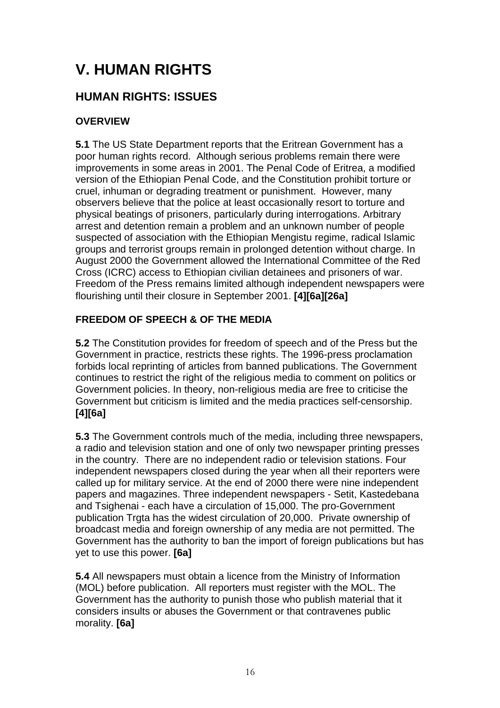# <span id="page-15-0"></span>**V. HUMAN RIGHTS**

## **HUMAN RIGHTS: ISSUES**

## **OVERVIEW**

**5.1** The US State Department reports that the Eritrean Government has a poor human rights record. Although serious problems remain there were improvements in some areas in 2001. The Penal Code of Eritrea, a modified version of the Ethiopian Penal Code, and the Constitution prohibit torture or cruel, inhuman or degrading treatment or punishment. However, many observers believe that the police at least occasionally resort to torture and physical beatings of prisoners, particularly during interrogations. Arbitrary arrest and detention remain a problem and an unknown number of people suspected of association with the Ethiopian Mengistu regime, radical Islamic groups and terrorist groups remain in prolonged detention without charge. In August 2000 the Government allowed the International Committee of the Red Cross (ICRC) access to Ethiopian civilian detainees and prisoners of war. Freedom of the Press remains limited although independent newspapers were flourishing until their closure in September 2001. **[4][6a][26a]** 

## **FREEDOM OF SPEECH & OF THE MEDIA**

**5.2** The Constitution provides for freedom of speech and of the Press but the Government in practice, restricts these rights. The 1996-press proclamation forbids local reprinting of articles from banned publications. The Government continues to restrict the right of the religious media to comment on politics or Government policies. In theory, non-religious media are free to criticise the Government but criticism is limited and the media practices self-censorship. **[4][6a]**

**5.3** The Government controls much of the media, including three newspapers, a radio and television station and one of only two newspaper printing presses in the country. There are no independent radio or television stations. Four independent newspapers closed during the year when all their reporters were called up for military service. At the end of 2000 there were nine independent papers and magazines. Three independent newspapers - Setit, Kastedebana and Tsighenai - each have a circulation of 15,000. The pro-Government publication Trgta has the widest circulation of 20,000. Private ownership of broadcast media and foreign ownership of any media are not permitted. The Government has the authority to ban the import of foreign publications but has yet to use this power. **[6a]**

**5.4** All newspapers must obtain a licence from the Ministry of Information (MOL) before publication. All reporters must register with the MOL. The Government has the authority to punish those who publish material that it considers insults or abuses the Government or that contravenes public morality. **[6a]**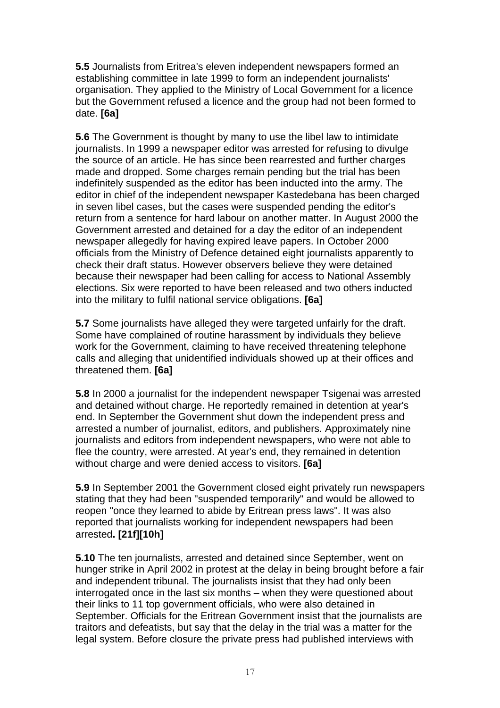**5.5** Journalists from Eritrea's eleven independent newspapers formed an establishing committee in late 1999 to form an independent journalists' organisation. They applied to the Ministry of Local Government for a licence but the Government refused a licence and the group had not been formed to date. **[6a]**

**5.6** The Government is thought by many to use the libel law to intimidate journalists. In 1999 a newspaper editor was arrested for refusing to divulge the source of an article. He has since been rearrested and further charges made and dropped. Some charges remain pending but the trial has been indefinitely suspended as the editor has been inducted into the army. The editor in chief of the independent newspaper Kastedebana has been charged in seven libel cases, but the cases were suspended pending the editor's return from a sentence for hard labour on another matter. In August 2000 the Government arrested and detained for a day the editor of an independent newspaper allegedly for having expired leave papers. In October 2000 officials from the Ministry of Defence detained eight journalists apparently to check their draft status. However observers believe they were detained because their newspaper had been calling for access to National Assembly elections. Six were reported to have been released and two others inducted into the military to fulfil national service obligations. **[6a]**

**5.7** Some journalists have alleged they were targeted unfairly for the draft. Some have complained of routine harassment by individuals they believe work for the Government, claiming to have received threatening telephone calls and alleging that unidentified individuals showed up at their offices and threatened them. **[6a]**

**5.8** In 2000 a journalist for the independent newspaper Tsigenai was arrested and detained without charge. He reportedly remained in detention at year's end. In September the Government shut down the independent press and arrested a number of journalist, editors, and publishers. Approximately nine journalists and editors from independent newspapers, who were not able to flee the country, were arrested. At year's end, they remained in detention without charge and were denied access to visitors. **[6a]** 

**5.9** In September 2001 the Government closed eight privately run newspapers stating that they had been "suspended temporarily" and would be allowed to reopen "once they learned to abide by Eritrean press laws". It was also reported that journalists working for independent newspapers had been arrested**. [21f][10h]** 

**5.10** The ten journalists, arrested and detained since September, went on hunger strike in April 2002 in protest at the delay in being brought before a fair and independent tribunal. The journalists insist that they had only been interrogated once in the last six months – when they were questioned about their links to 11 top government officials, who were also detained in September. Officials for the Eritrean Government insist that the journalists are traitors and defeatists, but say that the delay in the trial was a matter for the legal system. Before closure the private press had published interviews with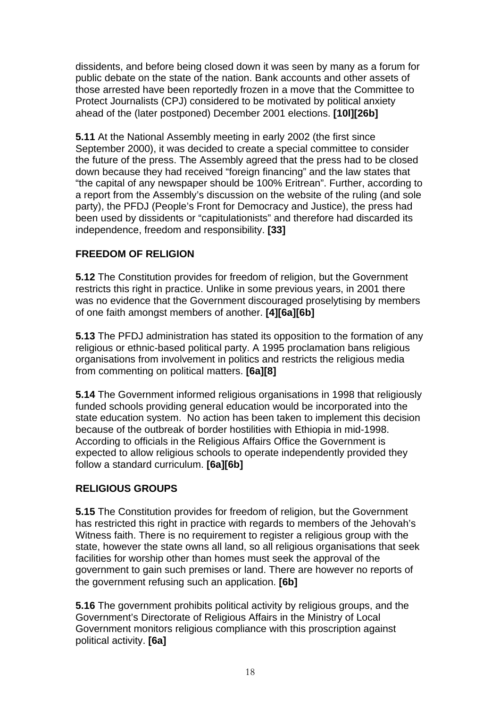<span id="page-17-0"></span>dissidents, and before being closed down it was seen by many as a forum for public debate on the state of the nation. Bank accounts and other assets of those arrested have been reportedly frozen in a move that the Committee to Protect Journalists (CPJ) considered to be motivated by political anxiety ahead of the (later postponed) December 2001 elections. **[10l][26b]**

**5.11** At the National Assembly meeting in early 2002 (the first since September 2000), it was decided to create a special committee to consider the future of the press. The Assembly agreed that the press had to be closed down because they had received "foreign financing" and the law states that "the capital of any newspaper should be 100% Eritrean". Further, according to a report from the Assembly's discussion on the website of the ruling (and sole party), the PFDJ (People's Front for Democracy and Justice), the press had been used by dissidents or "capitulationists" and therefore had discarded its independence, freedom and responsibility. **[33]**

### **FREEDOM OF RELIGION**

**5.12** The Constitution provides for freedom of religion, but the Government restricts this right in practice. Unlike in some previous years, in 2001 there was no evidence that the Government discouraged proselytising by members of one faith amongst members of another. **[4][6a][6b]** 

**5.13** The PFDJ administration has stated its opposition to the formation of any religious or ethnic-based political party. A 1995 proclamation bans religious organisations from involvement in politics and restricts the religious media from commenting on political matters. **[6a][8]** 

**5.14** The Government informed religious organisations in 1998 that religiously funded schools providing general education would be incorporated into the state education system. No action has been taken to implement this decision because of the outbreak of border hostilities with Ethiopia in mid-1998. According to officials in the Religious Affairs Office the Government is expected to allow religious schools to operate independently provided they follow a standard curriculum. **[6a][6b]** 

## **RELIGIOUS GROUPS**

**5.15** The Constitution provides for freedom of religion, but the Government has restricted this right in practice with regards to members of the Jehovah's Witness faith. There is no requirement to register a religious group with the state, however the state owns all land, so all religious organisations that seek facilities for worship other than homes must seek the approval of the government to gain such premises or land. There are however no reports of the government refusing such an application. **[6b]** 

**5.16** The government prohibits political activity by religious groups, and the Government's Directorate of Religious Affairs in the Ministry of Local Government monitors religious compliance with this proscription against political activity. **[6a]**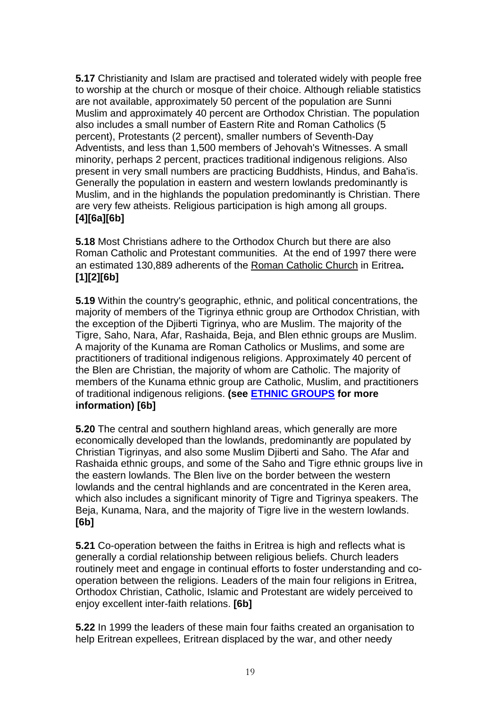**5.17** Christianity and Islam are practised and tolerated widely with people free to worship at the church or mosque of their choice. Although reliable statistics are not available, approximately 50 percent of the population are Sunni Muslim and approximately 40 percent are Orthodox Christian. The population also includes a small number of Eastern Rite and Roman Catholics (5 percent), Protestants (2 percent), smaller numbers of Seventh-Day Adventists, and less than 1,500 members of Jehovah's Witnesses. A small minority, perhaps 2 percent, practices traditional indigenous religions. Also present in very small numbers are practicing Buddhists, Hindus, and Baha'is. Generally the population in eastern and western lowlands predominantly is Muslim, and in the highlands the population predominantly is Christian. There are very few atheists. Religious participation is high among all groups. **[4][6a][6b]** 

**5.18** Most Christians adhere to the Orthodox Church but there are also Roman Catholic and Protestant communities. At the end of 1997 there were an estimated 130,889 adherents of the Roman Catholic Church in Eritrea**. [1][2][6b]** 

**5.19** Within the country's geographic, ethnic, and political concentrations, the majority of members of the Tigrinya ethnic group are Orthodox Christian, with the exception of the Djiberti Tigrinya, who are Muslim. The majority of the Tigre, Saho, Nara, Afar, Rashaida, Beja, and Blen ethnic groups are Muslim. A majority of the Kunama are Roman Catholics or Muslims, and some are practitioners of traditional indigenous religions. Approximately 40 percent of the Blen are Christian, the majority of whom are Catholic. The majority of members of the Kunama ethnic group are Catholic, Muslim, and practitioners of traditional indigenous religions. **(see [ETHNIC GROUPS](#page-24-0) for more information) [6b]** 

**5.20** The central and southern highland areas, which generally are more economically developed than the lowlands, predominantly are populated by Christian Tigrinyas, and also some Muslim Djiberti and Saho. The Afar and Rashaida ethnic groups, and some of the Saho and Tigre ethnic groups live in the eastern lowlands. The Blen live on the border between the western lowlands and the central highlands and are concentrated in the Keren area, which also includes a significant minority of Tigre and Tigrinya speakers. The Beja, Kunama, Nara, and the majority of Tigre live in the western lowlands. **[6b]** 

**5.21** Co-operation between the faiths in Eritrea is high and reflects what is generally a cordial relationship between religious beliefs. Church leaders routinely meet and engage in continual efforts to foster understanding and cooperation between the religions. Leaders of the main four religions in Eritrea, Orthodox Christian, Catholic, Islamic and Protestant are widely perceived to enjoy excellent inter-faith relations. **[6b]** 

**5.22** In 1999 the leaders of these main four faiths created an organisation to help Eritrean expellees, Eritrean displaced by the war, and other needy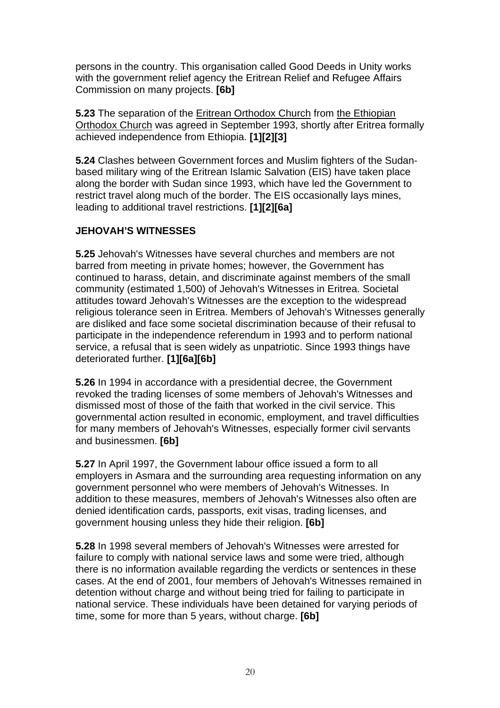<span id="page-19-0"></span>persons in the country. This organisation called Good Deeds in Unity works with the government relief agency the Eritrean Relief and Refugee Affairs Commission on many projects. **[6b]**

**5.23** The separation of the Eritrean Orthodox Church from the Ethiopian Orthodox Church was agreed in September 1993, shortly after Eritrea formally achieved independence from Ethiopia. **[1][2][3]**

**5.24** Clashes between Government forces and Muslim fighters of the Sudanbased military wing of the Eritrean Islamic Salvation (EIS) have taken place along the border with Sudan since 1993, which have led the Government to restrict travel along much of the border. The EIS occasionally lays mines, leading to additional travel restrictions. **[1][2][6a]**

### **JEHOVAH'S WITNESSES**

**5.25** Jehovah's Witnesses have several churches and members are not barred from meeting in private homes; however, the Government has continued to harass, detain, and discriminate against members of the small community (estimated 1,500) of Jehovah's Witnesses in Eritrea. Societal attitudes toward Jehovah's Witnesses are the exception to the widespread religious tolerance seen in Eritrea. Members of Jehovah's Witnesses generally are disliked and face some societal discrimination because of their refusal to participate in the independence referendum in 1993 and to perform national service, a refusal that is seen widely as unpatriotic. Since 1993 things have deteriorated further. **[1][6a][6b]** 

**5.26** In 1994 in accordance with a presidential decree, the Government revoked the trading licenses of some members of Jehovah's Witnesses and dismissed most of those of the faith that worked in the civil service. This governmental action resulted in economic, employment, and travel difficulties for many members of Jehovah's Witnesses, especially former civil servants and businessmen. **[6b]**

**5.27** In April 1997, the Government labour office issued a form to all employers in Asmara and the surrounding area requesting information on any government personnel who were members of Jehovah's Witnesses. In addition to these measures, members of Jehovah's Witnesses also often are denied identification cards, passports, exit visas, trading licenses, and government housing unless they hide their religion. **[6b]** 

**5.28** In 1998 several members of Jehovah's Witnesses were arrested for failure to comply with national service laws and some were tried, although there is no information available regarding the verdicts or sentences in these cases. At the end of 2001, four members of Jehovah's Witnesses remained in detention without charge and without being tried for failing to participate in national service. These individuals have been detained for varying periods of time, some for more than 5 years, without charge. **[6b]**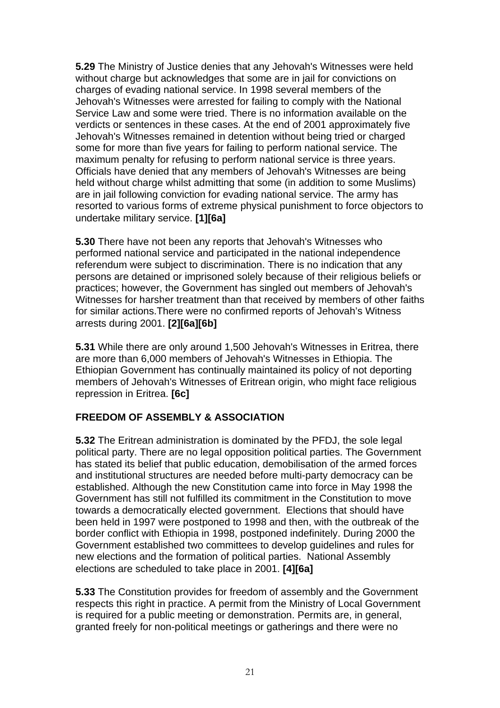<span id="page-20-0"></span>**5.29** The Ministry of Justice denies that any Jehovah's Witnesses were held without charge but acknowledges that some are in jail for convictions on charges of evading national service. In 1998 several members of the Jehovah's Witnesses were arrested for failing to comply with the National Service Law and some were tried. There is no information available on the verdicts or sentences in these cases. At the end of 2001 approximately five Jehovah's Witnesses remained in detention without being tried or charged some for more than five years for failing to perform national service. The maximum penalty for refusing to perform national service is three years. Officials have denied that any members of Jehovah's Witnesses are being held without charge whilst admitting that some (in addition to some Muslims) are in jail following conviction for evading national service. The army has resorted to various forms of extreme physical punishment to force objectors to undertake military service. **[1][6a]** 

**5.30** There have not been any reports that Jehovah's Witnesses who performed national service and participated in the national independence referendum were subject to discrimination. There is no indication that any persons are detained or imprisoned solely because of their religious beliefs or practices; however, the Government has singled out members of Jehovah's Witnesses for harsher treatment than that received by members of other faiths for similar actions.There were no confirmed reports of Jehovah's Witness arrests during 2001. **[2][6a][6b]** 

**5.31** While there are only around 1,500 Jehovah's Witnesses in Eritrea, there are more than 6,000 members of Jehovah's Witnesses in Ethiopia. The Ethiopian Government has continually maintained its policy of not deporting members of Jehovah's Witnesses of Eritrean origin, who might face religious repression in Eritrea. **[6c]** 

### **FREEDOM OF ASSEMBLY & ASSOCIATION**

**5.32** The Eritrean administration is dominated by the PFDJ, the sole legal political party. There are no legal opposition political parties. The Government has stated its belief that public education, demobilisation of the armed forces and institutional structures are needed before multi-party democracy can be established. Although the new Constitution came into force in May 1998 the Government has still not fulfilled its commitment in the Constitution to move towards a democratically elected government. Elections that should have been held in 1997 were postponed to 1998 and then, with the outbreak of the border conflict with Ethiopia in 1998, postponed indefinitely. During 2000 the Government established two committees to develop guidelines and rules for new elections and the formation of political parties. National Assembly elections are scheduled to take place in 2001. **[4][6a]**

**5.33** The Constitution provides for freedom of assembly and the Government respects this right in practice. A permit from the Ministry of Local Government is required for a public meeting or demonstration. Permits are, in general, granted freely for non-political meetings or gatherings and there were no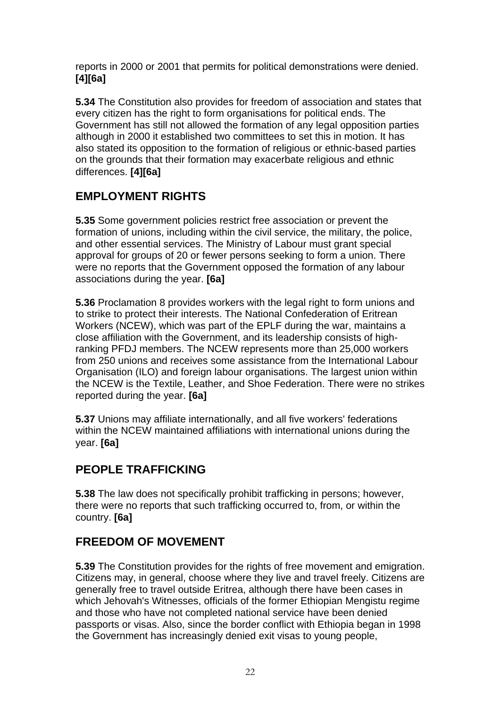<span id="page-21-0"></span>reports in 2000 or 2001 that permits for political demonstrations were denied. **[4][6a]**

**5.34** The Constitution also provides for freedom of association and states that every citizen has the right to form organisations for political ends. The Government has still not allowed the formation of any legal opposition parties although in 2000 it established two committees to set this in motion. It has also stated its opposition to the formation of religious or ethnic-based parties on the grounds that their formation may exacerbate religious and ethnic differences. **[4][6a]** 

# **EMPLOYMENT RIGHTS**

**5.35** Some government policies restrict free association or prevent the formation of unions, including within the civil service, the military, the police, and other essential services. The Ministry of Labour must grant special approval for groups of 20 or fewer persons seeking to form a union. There were no reports that the Government opposed the formation of any labour associations during the year. **[6a]**

**5.36** Proclamation 8 provides workers with the legal right to form unions and to strike to protect their interests. The National Confederation of Eritrean Workers (NCEW), which was part of the EPLF during the war, maintains a close affiliation with the Government, and its leadership consists of highranking PFDJ members. The NCEW represents more than 25,000 workers from 250 unions and receives some assistance from the International Labour Organisation (ILO) and foreign labour organisations. The largest union within the NCEW is the Textile, Leather, and Shoe Federation. There were no strikes reported during the year. **[6a]**

**5.37** Unions may affiliate internationally, and all five workers' federations within the NCEW maintained affiliations with international unions during the year. **[6a]**

## **PEOPLE TRAFFICKING**

**5.38** The law does not specifically prohibit trafficking in persons; however, there were no reports that such trafficking occurred to, from, or within the country. **[6a]** 

## **FREEDOM OF MOVEMENT**

**5.39** The Constitution provides for the rights of free movement and emigration. Citizens may, in general, choose where they live and travel freely. Citizens are generally free to travel outside Eritrea, although there have been cases in which Jehovah's Witnesses, officials of the former Ethiopian Mengistu regime and those who have not completed national service have been denied passports or visas. Also, since the border conflict with Ethiopia began in 1998 the Government has increasingly denied exit visas to young people,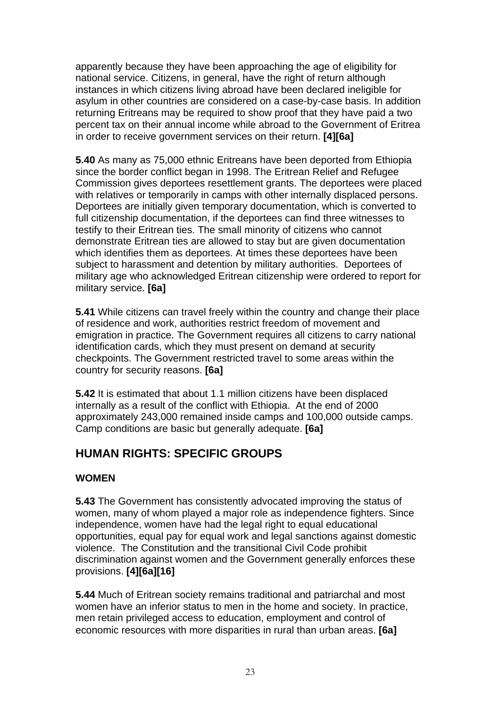<span id="page-22-0"></span>apparently because they have been approaching the age of eligibility for national service. Citizens, in general, have the right of return although instances in which citizens living abroad have been declared ineligible for asylum in other countries are considered on a case-by-case basis. In addition returning Eritreans may be required to show proof that they have paid a two percent tax on their annual income while abroad to the Government of Eritrea in order to receive government services on their return. **[4][6a]**

**5.40** As many as 75,000 ethnic Eritreans have been deported from Ethiopia since the border conflict began in 1998. The Eritrean Relief and Refugee Commission gives deportees resettlement grants. The deportees were placed with relatives or temporarily in camps with other internally displaced persons. Deportees are initially given temporary documentation, which is converted to full citizenship documentation, if the deportees can find three witnesses to testify to their Eritrean ties. The small minority of citizens who cannot demonstrate Eritrean ties are allowed to stay but are given documentation which identifies them as deportees. At times these deportees have been subject to harassment and detention by military authorities. Deportees of military age who acknowledged Eritrean citizenship were ordered to report for military service. **[6a]** 

**5.41** While citizens can travel freely within the country and change their place of residence and work, authorities restrict freedom of movement and emigration in practice. The Government requires all citizens to carry national identification cards, which they must present on demand at security checkpoints. The Government restricted travel to some areas within the country for security reasons. **[6a]**

**5.42** It is estimated that about 1.1 million citizens have been displaced internally as a result of the conflict with Ethiopia. At the end of 2000 approximately 243,000 remained inside camps and 100,000 outside camps. Camp conditions are basic but generally adequate. **[6a]**

## **HUMAN RIGHTS: SPECIFIC GROUPS**

### **WOMEN**

**5.43** The Government has consistently advocated improving the status of women, many of whom played a major role as independence fighters. Since independence, women have had the legal right to equal educational opportunities, equal pay for equal work and legal sanctions against domestic violence. The Constitution and the transitional Civil Code prohibit discrimination against women and the Government generally enforces these provisions. **[4][6a][16]**

**5.44** Much of Eritrean society remains traditional and patriarchal and most women have an inferior status to men in the home and society. In practice, men retain privileged access to education, employment and control of economic resources with more disparities in rural than urban areas. **[6a]**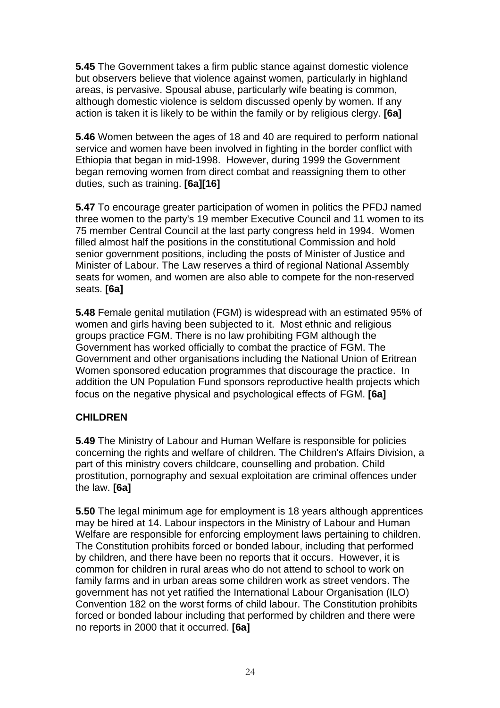<span id="page-23-0"></span>**5.45** The Government takes a firm public stance against domestic violence but observers believe that violence against women, particularly in highland areas, is pervasive. Spousal abuse, particularly wife beating is common, although domestic violence is seldom discussed openly by women. If any action is taken it is likely to be within the family or by religious clergy. **[6a]**

**5.46** Women between the ages of 18 and 40 are required to perform national service and women have been involved in fighting in the border conflict with Ethiopia that began in mid-1998. However, during 1999 the Government began removing women from direct combat and reassigning them to other duties, such as training. **[6a][16]**

**5.47** To encourage greater participation of women in politics the PFDJ named three women to the party's 19 member Executive Council and 11 women to its 75 member Central Council at the last party congress held in 1994. Women filled almost half the positions in the constitutional Commission and hold senior government positions, including the posts of Minister of Justice and Minister of Labour. The Law reserves a third of regional National Assembly seats for women, and women are also able to compete for the non-reserved seats. **[6a]** 

**5.48** Female genital mutilation (FGM) is widespread with an estimated 95% of women and girls having been subjected to it. Most ethnic and religious groups practice FGM. There is no law prohibiting FGM although the Government has worked officially to combat the practice of FGM. The Government and other organisations including the National Union of Eritrean Women sponsored education programmes that discourage the practice. In addition the UN Population Fund sponsors reproductive health projects which focus on the negative physical and psychological effects of FGM. **[6a]** 

### **CHILDREN**

**5.49** The Ministry of Labour and Human Welfare is responsible for policies concerning the rights and welfare of children. The Children's Affairs Division, a part of this ministry covers childcare, counselling and probation. Child prostitution, pornography and sexual exploitation are criminal offences under the law. **[6a]**

**5.50** The legal minimum age for employment is 18 years although apprentices may be hired at 14. Labour inspectors in the Ministry of Labour and Human Welfare are responsible for enforcing employment laws pertaining to children. The Constitution prohibits forced or bonded labour, including that performed by children, and there have been no reports that it occurs. However, it is common for children in rural areas who do not attend to school to work on family farms and in urban areas some children work as street vendors. The government has not yet ratified the International Labour Organisation (ILO) Convention 182 on the worst forms of child labour. The Constitution prohibits forced or bonded labour including that performed by children and there were no reports in 2000 that it occurred. **[6a]**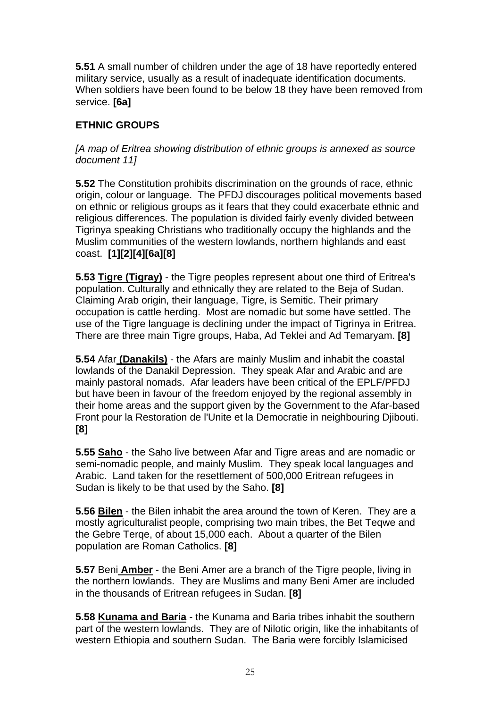<span id="page-24-0"></span>**5.51** A small number of children under the age of 18 have reportedly entered military service, usually as a result of inadequate identification documents. When soldiers have been found to be below 18 they have been removed from service. **[6a]**

## **ETHNIC GROUPS**

*[A map of Eritrea showing distribution of ethnic groups is annexed as source document 11]* 

**5.52** The Constitution prohibits discrimination on the grounds of race, ethnic origin, colour or language. The PFDJ discourages political movements based on ethnic or religious groups as it fears that they could exacerbate ethnic and religious differences. The population is divided fairly evenly divided between Tigrinya speaking Christians who traditionally occupy the highlands and the Muslim communities of the western lowlands, northern highlands and east coast. **[1][2][4][6a][8]** 

**5.53 Tigre (Tigray)** - the Tigre peoples represent about one third of Eritrea's population. Culturally and ethnically they are related to the Beja of Sudan. Claiming Arab origin, their language, Tigre, is Semitic. Their primary occupation is cattle herding. Most are nomadic but some have settled. The use of the Tigre language is declining under the impact of Tigrinya in Eritrea. There are three main Tigre groups, Haba, Ad Teklei and Ad Temaryam. **[8]** 

**5.54** Afar **(Danakils)** - the Afars are mainly Muslim and inhabit the coastal lowlands of the Danakil Depression. They speak Afar and Arabic and are mainly pastoral nomads. Afar leaders have been critical of the EPLF/PFDJ but have been in favour of the freedom enjoyed by the regional assembly in their home areas and the support given by the Government to the Afar-based Front pour la Restoration de l'Unite et la Democratie in neighbouring Djibouti. **[8]**

**5.55 Saho** - the Saho live between Afar and Tigre areas and are nomadic or semi-nomadic people, and mainly Muslim. They speak local languages and Arabic. Land taken for the resettlement of 500,000 Eritrean refugees in Sudan is likely to be that used by the Saho. **[8]**

**5.56 Bilen** - the Bilen inhabit the area around the town of Keren. They are a mostly agriculturalist people, comprising two main tribes, the Bet Teqwe and the Gebre Terqe, of about 15,000 each. About a quarter of the Bilen population are Roman Catholics. **[8]**

**5.57** Beni **Amber** - the Beni Amer are a branch of the Tigre people, living in the northern lowlands. They are Muslims and many Beni Amer are included in the thousands of Eritrean refugees in Sudan. **[8]** 

**5.58 Kunama and Baria** - the Kunama and Baria tribes inhabit the southern part of the western lowlands. They are of Nilotic origin, like the inhabitants of western Ethiopia and southern Sudan. The Baria were forcibly Islamicised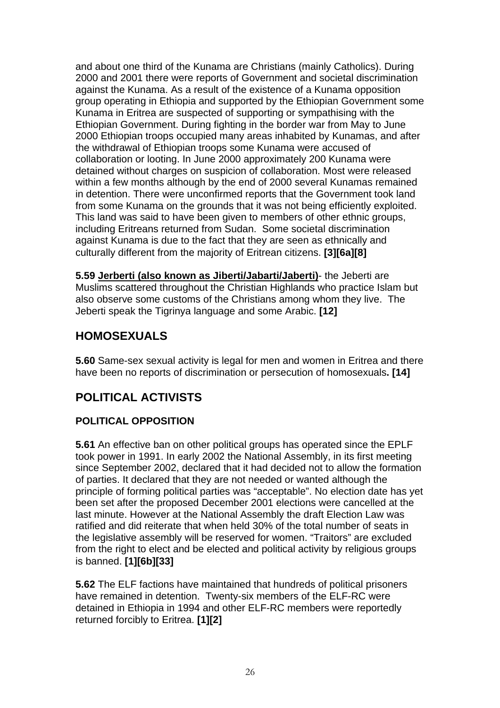<span id="page-25-0"></span>and about one third of the Kunama are Christians (mainly Catholics). During 2000 and 2001 there were reports of Government and societal discrimination against the Kunama. As a result of the existence of a Kunama opposition group operating in Ethiopia and supported by the Ethiopian Government some Kunama in Eritrea are suspected of supporting or sympathising with the Ethiopian Government. During fighting in the border war from May to June 2000 Ethiopian troops occupied many areas inhabited by Kunamas, and after the withdrawal of Ethiopian troops some Kunama were accused of collaboration or looting. In June 2000 approximately 200 Kunama were detained without charges on suspicion of collaboration. Most were released within a few months although by the end of 2000 several Kunamas remained in detention. There were unconfirmed reports that the Government took land from some Kunama on the grounds that it was not being efficiently exploited. This land was said to have been given to members of other ethnic groups, including Eritreans returned from Sudan. Some societal discrimination against Kunama is due to the fact that they are seen as ethnically and culturally different from the majority of Eritrean citizens. **[3][6a][8]**

**5.59 Jerberti (also known as Jiberti/Jabarti/Jaberti)**- the Jeberti are Muslims scattered throughout the Christian Highlands who practice Islam but also observe some customs of the Christians among whom they live. The Jeberti speak the Tigrinya language and some Arabic. **[12]** 

## **HOMOSEXUALS**

**5.60** Same-sex sexual activity is legal for men and women in Eritrea and there have been no reports of discrimination or persecution of homosexuals**. [14]** 

## **POLITICAL ACTIVISTS**

## **POLITICAL OPPOSITION**

**5.61** An effective ban on other political groups has operated since the EPLF took power in 1991. In early 2002 the National Assembly, in its first meeting since September 2002, declared that it had decided not to allow the formation of parties. It declared that they are not needed or wanted although the principle of forming political parties was "acceptable". No election date has yet been set after the proposed December 2001 elections were cancelled at the last minute. However at the National Assembly the draft Election Law was ratified and did reiterate that when held 30% of the total number of seats in the legislative assembly will be reserved for women. "Traitors" are excluded from the right to elect and be elected and political activity by religious groups is banned. **[1][6b][33]** 

**5.62** The ELF factions have maintained that hundreds of political prisoners have remained in detention. Twenty-six members of the ELF-RC were detained in Ethiopia in 1994 and other ELF-RC members were reportedly returned forcibly to Eritrea. **[1][2]**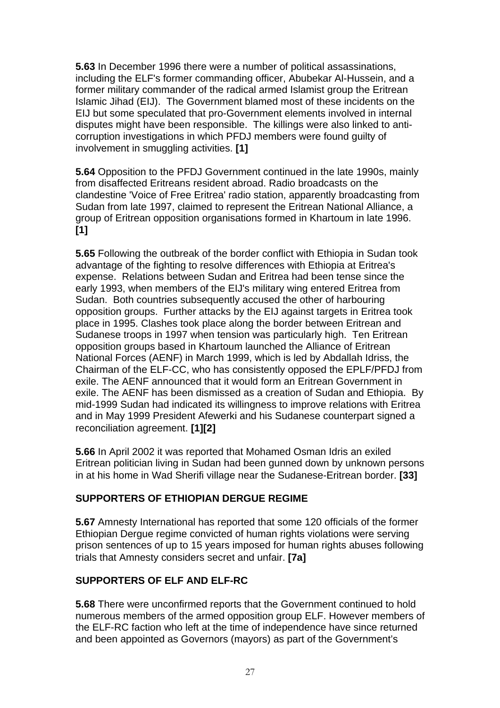<span id="page-26-0"></span>**5.63** In December 1996 there were a number of political assassinations, including the ELF's former commanding officer, Abubekar Al-Hussein, and a former military commander of the radical armed Islamist group the Eritrean Islamic Jihad (EIJ). The Government blamed most of these incidents on the EIJ but some speculated that pro-Government elements involved in internal disputes might have been responsible. The killings were also linked to anticorruption investigations in which PFDJ members were found guilty of involvement in smuggling activities. **[1]** 

**5.64** Opposition to the PFDJ Government continued in the late 1990s, mainly from disaffected Eritreans resident abroad. Radio broadcasts on the clandestine 'Voice of Free Eritrea' radio station, apparently broadcasting from Sudan from late 1997, claimed to represent the Eritrean National Alliance, a group of Eritrean opposition organisations formed in Khartoum in late 1996. **[1]**

**5.65** Following the outbreak of the border conflict with Ethiopia in Sudan took advantage of the fighting to resolve differences with Ethiopia at Eritrea's expense. Relations between Sudan and Eritrea had been tense since the early 1993, when members of the EIJ's military wing entered Eritrea from Sudan. Both countries subsequently accused the other of harbouring opposition groups. Further attacks by the EIJ against targets in Eritrea took place in 1995. Clashes took place along the border between Eritrean and Sudanese troops in 1997 when tension was particularly high. Ten Eritrean opposition groups based in Khartoum launched the Alliance of Eritrean National Forces (AENF) in March 1999, which is led by Abdallah Idriss, the Chairman of the ELF-CC, who has consistently opposed the EPLF/PFDJ from exile. The AENF announced that it would form an Eritrean Government in exile. The AENF has been dismissed as a creation of Sudan and Ethiopia. By mid-1999 Sudan had indicated its willingness to improve relations with Eritrea and in May 1999 President Afewerki and his Sudanese counterpart signed a reconciliation agreement. **[1][2]** 

**5.66** In April 2002 it was reported that Mohamed Osman Idris an exiled Eritrean politician living in Sudan had been gunned down by unknown persons in at his home in Wad Sherifi village near the Sudanese-Eritrean border. **[33]** 

### **SUPPORTERS OF ETHIOPIAN DERGUE REGIME**

**5.67** Amnesty International has reported that some 120 officials of the former Ethiopian Dergue regime convicted of human rights violations were serving prison sentences of up to 15 years imposed for human rights abuses following trials that Amnesty considers secret and unfair. **[7a]**

## **SUPPORTERS OF ELF AND ELF-RC**

**5.68** There were unconfirmed reports that the Government continued to hold numerous members of the armed opposition group ELF. However members of the ELF-RC faction who left at the time of independence have since returned and been appointed as Governors (mayors) as part of the Government's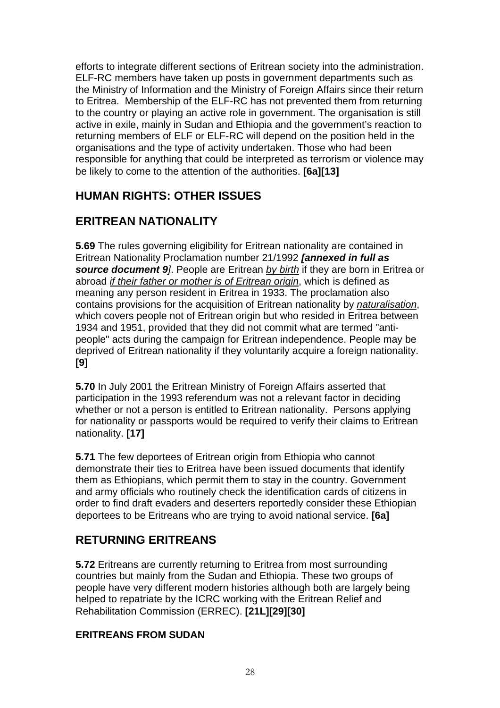<span id="page-27-0"></span>efforts to integrate different sections of Eritrean society into the administration. ELF-RC members have taken up posts in government departments such as the Ministry of Information and the Ministry of Foreign Affairs since their return to Eritrea. Membership of the ELF-RC has not prevented them from returning to the country or playing an active role in government. The organisation is still active in exile, mainly in Sudan and Ethiopia and the government's reaction to returning members of ELF or ELF-RC will depend on the position held in the organisations and the type of activity undertaken. Those who had been responsible for anything that could be interpreted as terrorism or violence may be likely to come to the attention of the authorities. **[6a][13]** 

# **HUMAN RIGHTS: OTHER ISSUES**

# **ERITREAN NATIONALITY**

**5.69** The rules governing eligibility for Eritrean nationality are contained in Eritrean Nationality Proclamation number 21/1992 *[annexed in full as source document 9]*. People are Eritrean *by birth* if they are born in Eritrea or abroad *if their father or mother is of Eritrean origin*, which is defined as meaning any person resident in Eritrea in 1933. The proclamation also contains provisions for the acquisition of Eritrean nationality by *naturalisation*, which covers people not of Eritrean origin but who resided in Eritrea between 1934 and 1951, provided that they did not commit what are termed "antipeople" acts during the campaign for Eritrean independence. People may be deprived of Eritrean nationality if they voluntarily acquire a foreign nationality. **[9]** 

**5.70** In July 2001 the Eritrean Ministry of Foreign Affairs asserted that participation in the 1993 referendum was not a relevant factor in deciding whether or not a person is entitled to Eritrean nationality. Persons applying for nationality or passports would be required to verify their claims to Eritrean nationality. **[17]** 

**5.71** The few deportees of Eritrean origin from Ethiopia who cannot demonstrate their ties to Eritrea have been issued documents that identify them as Ethiopians, which permit them to stay in the country. Government and army officials who routinely check the identification cards of citizens in order to find draft evaders and deserters reportedly consider these Ethiopian deportees to be Eritreans who are trying to avoid national service. **[6a]**

## **RETURNING ERITREANS**

**5.72** Eritreans are currently returning to Eritrea from most surrounding countries but mainly from the Sudan and Ethiopia. These two groups of people have very different modern histories although both are largely being helped to repatriate by the ICRC working with the Eritrean Relief and Rehabilitation Commission (ERREC). **[21L][29][30]** 

## **ERITREANS FROM SUDAN**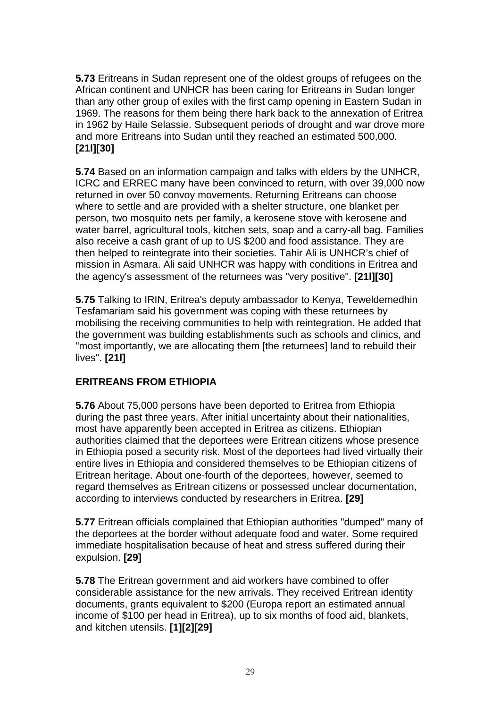<span id="page-28-0"></span>**5.73** Eritreans in Sudan represent one of the oldest groups of refugees on the African continent and UNHCR has been caring for Eritreans in Sudan longer than any other group of exiles with the first camp opening in Eastern Sudan in 1969. The reasons for them being there hark back to the annexation of Eritrea in 1962 by Haile Selassie. Subsequent periods of drought and war drove more and more Eritreans into Sudan until they reached an estimated 500,000. **[21l][30]** 

**5.74** Based on an information campaign and talks with elders by the UNHCR, ICRC and ERREC many have been convinced to return, with over 39,000 now returned in over 50 convoy movements. Returning Eritreans can choose where to settle and are provided with a shelter structure, one blanket per person, two mosquito nets per family, a kerosene stove with kerosene and water barrel, agricultural tools, kitchen sets, soap and a carry-all bag. Families also receive a cash grant of up to US \$200 and food assistance. They are then helped to reintegrate into their societies. Tahir Ali is UNHCR's chief of mission in Asmara. Ali said UNHCR was happy with conditions in Eritrea and the agency's assessment of the returnees was "very positive". **[21l][30]**

**5.75** Talking to IRIN, Eritrea's deputy ambassador to Kenya, Teweldemedhin Tesfamariam said his government was coping with these returnees by mobilising the receiving communities to help with reintegration. He added that the government was building establishments such as schools and clinics, and "most importantly, we are allocating them [the returnees] land to rebuild their lives". **[21l]** 

### **ERITREANS FROM ETHIOPIA**

**5.76** About 75,000 persons have been deported to Eritrea from Ethiopia during the past three years. After initial uncertainty about their nationalities, most have apparently been accepted in Eritrea as citizens. Ethiopian authorities claimed that the deportees were Eritrean citizens whose presence in Ethiopia posed a security risk. Most of the deportees had lived virtually their entire lives in Ethiopia and considered themselves to be Ethiopian citizens of Eritrean heritage. About one-fourth of the deportees, however, seemed to regard themselves as Eritrean citizens or possessed unclear documentation, according to interviews conducted by researchers in Eritrea. **[29]**

**5.77** Eritrean officials complained that Ethiopian authorities "dumped" many of the deportees at the border without adequate food and water. Some required immediate hospitalisation because of heat and stress suffered during their expulsion. **[29]**

**5.78** The Eritrean government and aid workers have combined to offer considerable assistance for the new arrivals. They received Eritrean identity documents, grants equivalent to \$200 (Europa report an estimated annual income of \$100 per head in Eritrea), up to six months of food aid, blankets, and kitchen utensils. **[1][2][29]**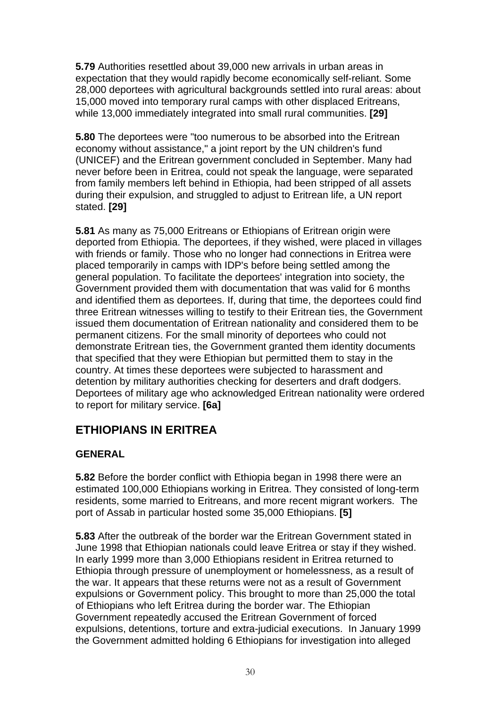<span id="page-29-0"></span>**5.79** Authorities resettled about 39,000 new arrivals in urban areas in expectation that they would rapidly become economically self-reliant. Some 28,000 deportees with agricultural backgrounds settled into rural areas: about 15,000 moved into temporary rural camps with other displaced Eritreans, while 13,000 immediately integrated into small rural communities. **[29]**

**5.80** The deportees were "too numerous to be absorbed into the Eritrean economy without assistance," a joint report by the UN children's fund (UNICEF) and the Eritrean government concluded in September. Many had never before been in Eritrea, could not speak the language, were separated from family members left behind in Ethiopia, had been stripped of all assets during their expulsion, and struggled to adjust to Eritrean life, a UN report stated. **[29]** 

**5.81** As many as 75,000 Eritreans or Ethiopians of Eritrean origin were deported from Ethiopia. The deportees, if they wished, were placed in villages with friends or family. Those who no longer had connections in Eritrea were placed temporarily in camps with IDP's before being settled among the general population. To facilitate the deportees' integration into society, the Government provided them with documentation that was valid for 6 months and identified them as deportees. If, during that time, the deportees could find three Eritrean witnesses willing to testify to their Eritrean ties, the Government issued them documentation of Eritrean nationality and considered them to be permanent citizens. For the small minority of deportees who could not demonstrate Eritrean ties, the Government granted them identity documents that specified that they were Ethiopian but permitted them to stay in the country. At times these deportees were subjected to harassment and detention by military authorities checking for deserters and draft dodgers. Deportees of military age who acknowledged Eritrean nationality were ordered to report for military service. **[6a]** 

## **ETHIOPIANS IN ERITREA**

## **GENERAL**

**5.82** Before the border conflict with Ethiopia began in 1998 there were an estimated 100,000 Ethiopians working in Eritrea. They consisted of long-term residents, some married to Eritreans, and more recent migrant workers. The port of Assab in particular hosted some 35,000 Ethiopians. **[5]** 

**5.83** After the outbreak of the border war the Eritrean Government stated in June 1998 that Ethiopian nationals could leave Eritrea or stay if they wished. In early 1999 more than 3,000 Ethiopians resident in Eritrea returned to Ethiopia through pressure of unemployment or homelessness, as a result of the war. It appears that these returns were not as a result of Government expulsions or Government policy. This brought to more than 25,000 the total of Ethiopians who left Eritrea during the border war. The Ethiopian Government repeatedly accused the Eritrean Government of forced expulsions, detentions, torture and extra-judicial executions. In January 1999 the Government admitted holding 6 Ethiopians for investigation into alleged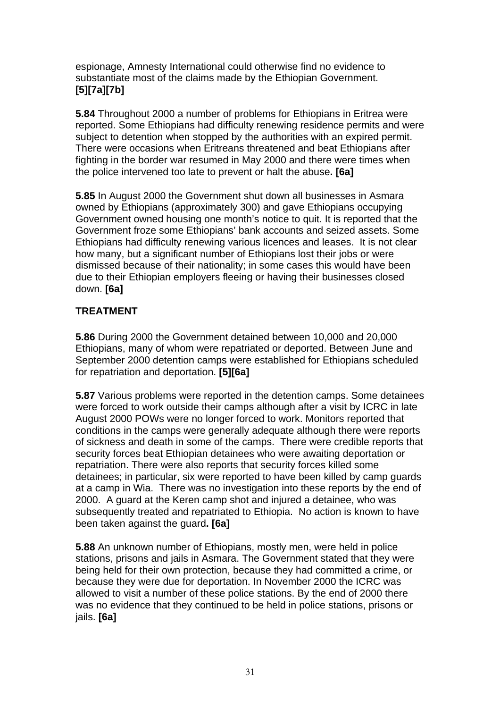<span id="page-30-0"></span>espionage, Amnesty International could otherwise find no evidence to substantiate most of the claims made by the Ethiopian Government. **[5][7a][7b]**

**5.84** Throughout 2000 a number of problems for Ethiopians in Eritrea were reported. Some Ethiopians had difficulty renewing residence permits and were subject to detention when stopped by the authorities with an expired permit. There were occasions when Eritreans threatened and beat Ethiopians after fighting in the border war resumed in May 2000 and there were times when the police intervened too late to prevent or halt the abuse**. [6a]** 

**5.85** In August 2000 the Government shut down all businesses in Asmara owned by Ethiopians (approximately 300) and gave Ethiopians occupying Government owned housing one month's notice to quit. It is reported that the Government froze some Ethiopians' bank accounts and seized assets. Some Ethiopians had difficulty renewing various licences and leases. It is not clear how many, but a significant number of Ethiopians lost their jobs or were dismissed because of their nationality; in some cases this would have been due to their Ethiopian employers fleeing or having their businesses closed down. **[6a]**

### **TREATMENT**

**5.86** During 2000 the Government detained between 10,000 and 20,000 Ethiopians, many of whom were repatriated or deported. Between June and September 2000 detention camps were established for Ethiopians scheduled for repatriation and deportation. **[5][6a]** 

**5.87** Various problems were reported in the detention camps. Some detainees were forced to work outside their camps although after a visit by ICRC in late August 2000 POWs were no longer forced to work. Monitors reported that conditions in the camps were generally adequate although there were reports of sickness and death in some of the camps. There were credible reports that security forces beat Ethiopian detainees who were awaiting deportation or repatriation. There were also reports that security forces killed some detainees; in particular, six were reported to have been killed by camp guards at a camp in Wia. There was no investigation into these reports by the end of 2000. A guard at the Keren camp shot and injured a detainee, who was subsequently treated and repatriated to Ethiopia. No action is known to have been taken against the guard**. [6a]** 

**5.88** An unknown number of Ethiopians, mostly men, were held in police stations, prisons and jails in Asmara. The Government stated that they were being held for their own protection, because they had committed a crime, or because they were due for deportation. In November 2000 the ICRC was allowed to visit a number of these police stations. By the end of 2000 there was no evidence that they continued to be held in police stations, prisons or jails. **[6a]**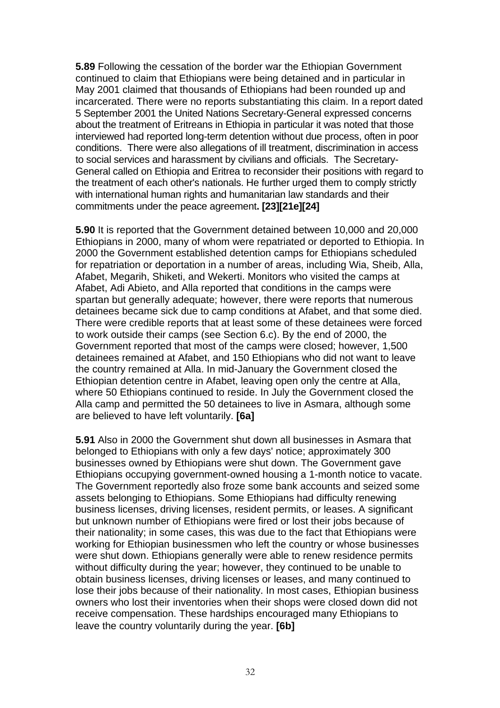**5.89** Following the cessation of the border war the Ethiopian Government continued to claim that Ethiopians were being detained and in particular in May 2001 claimed that thousands of Ethiopians had been rounded up and incarcerated. There were no reports substantiating this claim. In a report dated 5 September 2001 the United Nations Secretary-General expressed concerns about the treatment of Eritreans in Ethiopia in particular it was noted that those interviewed had reported long-term detention without due process, often in poor conditions. There were also allegations of ill treatment, discrimination in access to social services and harassment by civilians and officials. The Secretary-General called on Ethiopia and Eritrea to reconsider their positions with regard to the treatment of each other's nationals. He further urged them to comply strictly with international human rights and humanitarian law standards and their commitments under the peace agreement**. [23][21e][24]** 

**5.90** It is reported that the Government detained between 10,000 and 20,000 Ethiopians in 2000, many of whom were repatriated or deported to Ethiopia. In 2000 the Government established detention camps for Ethiopians scheduled for repatriation or deportation in a number of areas, including Wia, Sheib, Alla, Afabet, Megarih, Shiketi, and Wekerti. Monitors who visited the camps at Afabet, Adi Abieto, and Alla reported that conditions in the camps were spartan but generally adequate; however, there were reports that numerous detainees became sick due to camp conditions at Afabet, and that some died. There were credible reports that at least some of these detainees were forced to work outside their camps (see Section 6.c). By the end of 2000, the Government reported that most of the camps were closed; however, 1,500 detainees remained at Afabet, and 150 Ethiopians who did not want to leave the country remained at Alla. In mid-January the Government closed the Ethiopian detention centre in Afabet, leaving open only the centre at Alla, where 50 Ethiopians continued to reside. In July the Government closed the Alla camp and permitted the 50 detainees to live in Asmara, although some are believed to have left voluntarily. **[6a]** 

**5.91** Also in 2000 the Government shut down all businesses in Asmara that belonged to Ethiopians with only a few days' notice; approximately 300 businesses owned by Ethiopians were shut down. The Government gave Ethiopians occupying government-owned housing a 1-month notice to vacate. The Government reportedly also froze some bank accounts and seized some assets belonging to Ethiopians. Some Ethiopians had difficulty renewing business licenses, driving licenses, resident permits, or leases. A significant but unknown number of Ethiopians were fired or lost their jobs because of their nationality; in some cases, this was due to the fact that Ethiopians were working for Ethiopian businessmen who left the country or whose businesses were shut down. Ethiopians generally were able to renew residence permits without difficulty during the year; however, they continued to be unable to obtain business licenses, driving licenses or leases, and many continued to lose their jobs because of their nationality. In most cases, Ethiopian business owners who lost their inventories when their shops were closed down did not receive compensation. These hardships encouraged many Ethiopians to leave the country voluntarily during the year. **[6b]**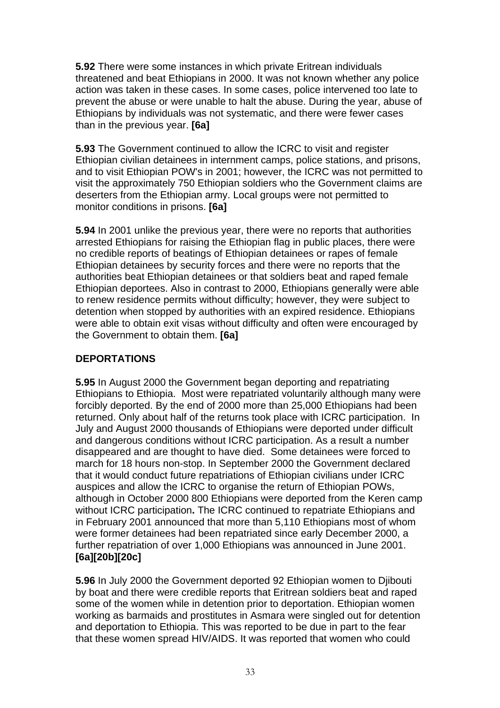<span id="page-32-0"></span>**5.92** There were some instances in which private Eritrean individuals threatened and beat Ethiopians in 2000. It was not known whether any police action was taken in these cases. In some cases, police intervened too late to prevent the abuse or were unable to halt the abuse. During the year, abuse of Ethiopians by individuals was not systematic, and there were fewer cases than in the previous year. **[6a]**

**5.93** The Government continued to allow the ICRC to visit and register Ethiopian civilian detainees in internment camps, police stations, and prisons, and to visit Ethiopian POW's in 2001; however, the ICRC was not permitted to visit the approximately 750 Ethiopian soldiers who the Government claims are deserters from the Ethiopian army. Local groups were not permitted to monitor conditions in prisons. **[6a]**

**5.94** In 2001 unlike the previous year, there were no reports that authorities arrested Ethiopians for raising the Ethiopian flag in public places, there were no credible reports of beatings of Ethiopian detainees or rapes of female Ethiopian detainees by security forces and there were no reports that the authorities beat Ethiopian detainees or that soldiers beat and raped female Ethiopian deportees. Also in contrast to 2000, Ethiopians generally were able to renew residence permits without difficulty; however, they were subject to detention when stopped by authorities with an expired residence. Ethiopians were able to obtain exit visas without difficulty and often were encouraged by the Government to obtain them. **[6a]** 

### **DEPORTATIONS**

**5.95** In August 2000 the Government began deporting and repatriating Ethiopians to Ethiopia. Most were repatriated voluntarily although many were forcibly deported. By the end of 2000 more than 25,000 Ethiopians had been returned. Only about half of the returns took place with ICRC participation. In July and August 2000 thousands of Ethiopians were deported under difficult and dangerous conditions without ICRC participation. As a result a number disappeared and are thought to have died. Some detainees were forced to march for 18 hours non-stop. In September 2000 the Government declared that it would conduct future repatriations of Ethiopian civilians under ICRC auspices and allow the ICRC to organise the return of Ethiopian POWs, although in October 2000 800 Ethiopians were deported from the Keren camp without ICRC participation**.** The ICRC continued to repatriate Ethiopians and in February 2001 announced that more than 5,110 Ethiopians most of whom were former detainees had been repatriated since early December 2000, a further repatriation of over 1,000 Ethiopians was announced in June 2001. **[6a][20b][20c]** 

**5.96** In July 2000 the Government deported 92 Ethiopian women to Djibouti by boat and there were credible reports that Eritrean soldiers beat and raped some of the women while in detention prior to deportation. Ethiopian women working as barmaids and prostitutes in Asmara were singled out for detention and deportation to Ethiopia. This was reported to be due in part to the fear that these women spread HIV/AIDS. It was reported that women who could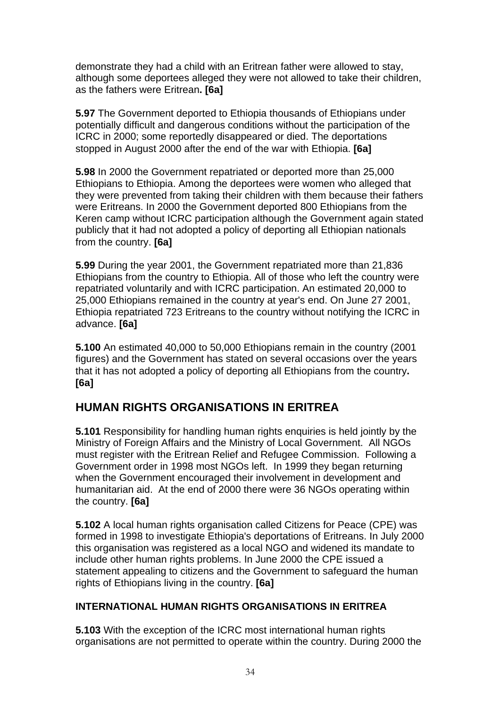<span id="page-33-0"></span>demonstrate they had a child with an Eritrean father were allowed to stay, although some deportees alleged they were not allowed to take their children, as the fathers were Eritrean**. [6a]**

**5.97** The Government deported to Ethiopia thousands of Ethiopians under potentially difficult and dangerous conditions without the participation of the ICRC in 2000; some reportedly disappeared or died. The deportations stopped in August 2000 after the end of the war with Ethiopia. **[6a]**

**5.98** In 2000 the Government repatriated or deported more than 25,000 Ethiopians to Ethiopia. Among the deportees were women who alleged that they were prevented from taking their children with them because their fathers were Eritreans. In 2000 the Government deported 800 Ethiopians from the Keren camp without ICRC participation although the Government again stated publicly that it had not adopted a policy of deporting all Ethiopian nationals from the country. **[6a]**

**5.99** During the year 2001, the Government repatriated more than 21,836 Ethiopians from the country to Ethiopia. All of those who left the country were repatriated voluntarily and with ICRC participation. An estimated 20,000 to 25,000 Ethiopians remained in the country at year's end. On June 27 2001, Ethiopia repatriated 723 Eritreans to the country without notifying the ICRC in advance. **[6a]**

**5.100** An estimated 40,000 to 50,000 Ethiopians remain in the country (2001 figures) and the Government has stated on several occasions over the years that it has not adopted a policy of deporting all Ethiopians from the country**. [6a]** 

## **HUMAN RIGHTS ORGANISATIONS IN ERITREA**

**5.101** Responsibility for handling human rights enquiries is held jointly by the Ministry of Foreign Affairs and the Ministry of Local Government. All NGOs must register with the Eritrean Relief and Refugee Commission. Following a Government order in 1998 most NGOs left. In 1999 they began returning when the Government encouraged their involvement in development and humanitarian aid. At the end of 2000 there were 36 NGOs operating within the country. **[6a]**

**5.102** A local human rights organisation called Citizens for Peace (CPE) was formed in 1998 to investigate Ethiopia's deportations of Eritreans. In July 2000 this organisation was registered as a local NGO and widened its mandate to include other human rights problems. In June 2000 the CPE issued a statement appealing to citizens and the Government to safeguard the human rights of Ethiopians living in the country. **[6a]**

#### **INTERNATIONAL HUMAN RIGHTS ORGANISATIONS IN ERITREA**

**5.103** With the exception of the ICRC most international human rights organisations are not permitted to operate within the country. During 2000 the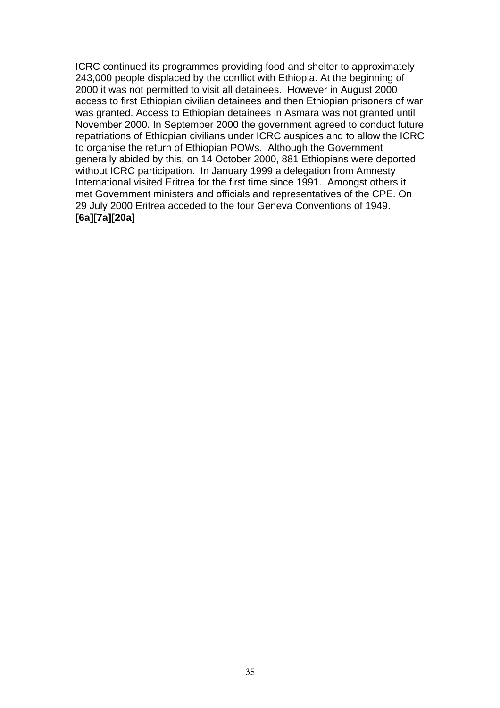ICRC continued its programmes providing food and shelter to approximately 243,000 people displaced by the conflict with Ethiopia. At the beginning of 2000 it was not permitted to visit all detainees. However in August 2000 access to first Ethiopian civilian detainees and then Ethiopian prisoners of war was granted. Access to Ethiopian detainees in Asmara was not granted until November 2000. In September 2000 the government agreed to conduct future repatriations of Ethiopian civilians under ICRC auspices and to allow the ICRC to organise the return of Ethiopian POWs. Although the Government generally abided by this, on 14 October 2000, 881 Ethiopians were deported without ICRC participation. In January 1999 a delegation from Amnesty International visited Eritrea for the first time since 1991. Amongst others it met Government ministers and officials and representatives of the CPE. On 29 July 2000 Eritrea acceded to the four Geneva Conventions of 1949. **[6a][7a][20a]**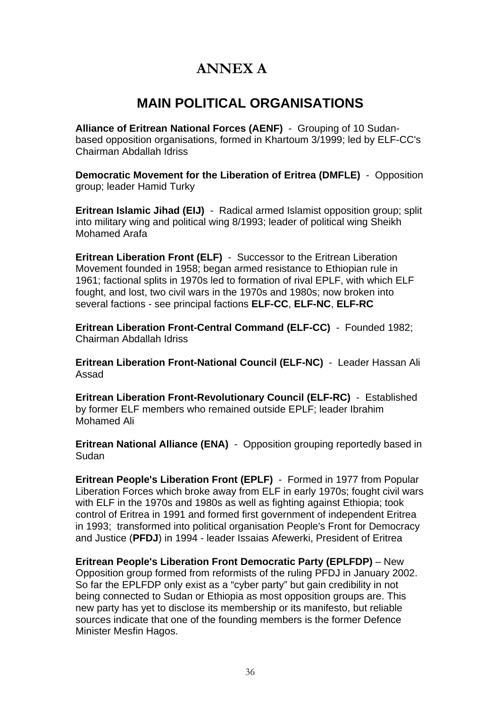# **ANNEX A**

# **MAIN POLITICAL ORGANISATIONS**

<span id="page-35-0"></span>**Alliance of Eritrean National Forces (AENF)** - Grouping of 10 Sudanbased opposition organisations, formed in Khartoum 3/1999; led by ELF-CC's Chairman Abdallah Idriss

**Democratic Movement for the Liberation of Eritrea (DMFLE)** - Opposition group; leader Hamid Turky

**Eritrean Islamic Jihad (EIJ)** - Radical armed Islamist opposition group; split into military wing and political wing 8/1993; leader of political wing Sheikh Mohamed Arafa

**Eritrean Liberation Front (ELF)** - Successor to the Eritrean Liberation Movement founded in 1958; began armed resistance to Ethiopian rule in 1961; factional splits in 1970s led to formation of rival EPLF, with which ELF fought, and lost, two civil wars in the 1970s and 1980s; now broken into several factions - see principal factions **ELF-CC**, **ELF-NC**, **ELF-RC** 

**Eritrean Liberation Front-Central Command (ELF-CC)** - Founded 1982; Chairman Abdallah Idriss

**Eritrean Liberation Front-National Council (ELF-NC)** - Leader Hassan Ali Assad

**Eritrean Liberation Front-Revolutionary Council (ELF-RC)** - Established by former ELF members who remained outside EPLF; leader Ibrahim Mohamed Ali

**Eritrean National Alliance (ENA)** - Opposition grouping reportedly based in Sudan

**Eritrean People's Liberation Front (EPLF)** - Formed in 1977 from Popular Liberation Forces which broke away from ELF in early 1970s; fought civil wars with ELF in the 1970s and 1980s as well as fighting against Ethiopia; took control of Eritrea in 1991 and formed first government of independent Eritrea in 1993; transformed into political organisation People's Front for Democracy and Justice (**PFDJ**) in 1994 - leader Issaias Afewerki, President of Eritrea

**Eritrean People's Liberation Front Democratic Party (EPLFDP)** – New Opposition group formed from reformists of the ruling PFDJ in January 2002. So far the EPLFDP only exist as a "cyber party" but gain credibility in not being connected to Sudan or Ethiopia as most opposition groups are. This new party has yet to disclose its membership or its manifesto, but reliable sources indicate that one of the founding members is the former Defence Minister Mesfin Hagos.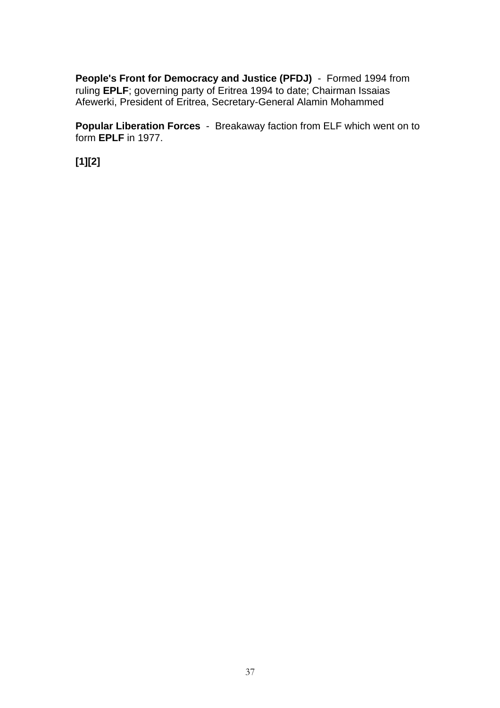**People's Front for Democracy and Justice (PFDJ)** - Formed 1994 from ruling **EPLF**; governing party of Eritrea 1994 to date; Chairman Issaias Afewerki, President of Eritrea, Secretary-General Alamin Mohammed

**Popular Liberation Forces** - Breakaway faction from ELF which went on to form **EPLF** in 1977.

**[1][2]**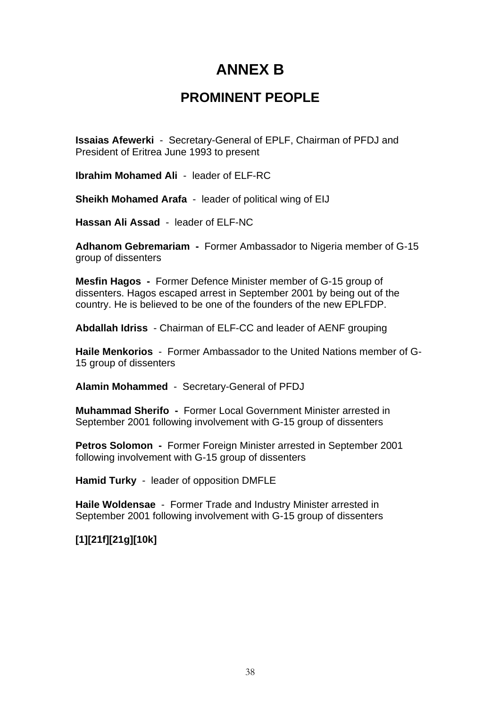# **ANNEX B**

# **PROMINENT PEOPLE**

<span id="page-37-0"></span>**Issaias Afewerki** - Secretary-General of EPLF, Chairman of PFDJ and President of Eritrea June 1993 to present

**Ibrahim Mohamed Ali** - leader of ELF-RC

**Sheikh Mohamed Arafa** - leader of political wing of EIJ

**Hassan Ali Assad** - leader of ELF-NC

**Adhanom Gebremariam -** Former Ambassador to Nigeria member of G-15 group of dissenters

**Mesfin Hagos -** Former Defence Minister member of G-15 group of dissenters. Hagos escaped arrest in September 2001 by being out of the country. He is believed to be one of the founders of the new EPLFDP.

**Abdallah Idriss** - Chairman of ELF-CC and leader of AENF grouping

**Haile Menkorios** - Former Ambassador to the United Nations member of G-15 group of dissenters

**Alamin Mohammed** - Secretary-General of PFDJ

**Muhammad Sherifo -** Former Local Government Minister arrested in September 2001 following involvement with G-15 group of dissenters

**Petros Solomon -** Former Foreign Minister arrested in September 2001 following involvement with G-15 group of dissenters

**Hamid Turky** - leader of opposition DMFLE

**Haile Woldensae** - Former Trade and Industry Minister arrested in September 2001 following involvement with G-15 group of dissenters

**[1][21f][21g][10k]**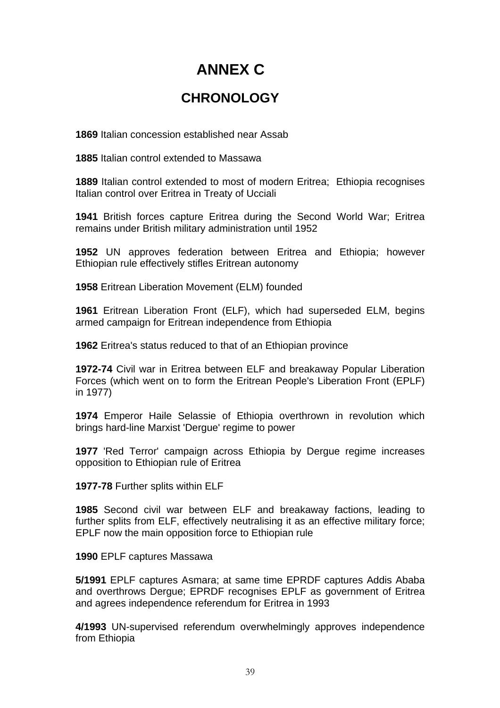# **ANNEX C**

# **CHRONOLOGY**

<span id="page-38-0"></span>**1869** Italian concession established near Assab

**1885** Italian control extended to Massawa

**1889** Italian control extended to most of modern Eritrea; Ethiopia recognises Italian control over Eritrea in Treaty of Ucciali

**1941** British forces capture Eritrea during the Second World War; Eritrea remains under British military administration until 1952

**1952** UN approves federation between Eritrea and Ethiopia; however Ethiopian rule effectively stifles Eritrean autonomy

**1958** Eritrean Liberation Movement (ELM) founded

**1961** Eritrean Liberation Front (ELF), which had superseded ELM, begins armed campaign for Eritrean independence from Ethiopia

**1962** Eritrea's status reduced to that of an Ethiopian province

**1972-74** Civil war in Eritrea between ELF and breakaway Popular Liberation Forces (which went on to form the Eritrean People's Liberation Front (EPLF) in 1977)

**1974** Emperor Haile Selassie of Ethiopia overthrown in revolution which brings hard-line Marxist 'Dergue' regime to power

**1977** 'Red Terror' campaign across Ethiopia by Dergue regime increases opposition to Ethiopian rule of Eritrea

**1977-78** Further splits within ELF

**1985** Second civil war between ELF and breakaway factions, leading to further splits from ELF, effectively neutralising it as an effective military force; EPLF now the main opposition force to Ethiopian rule

**1990** EPLF captures Massawa

**5/1991** EPLF captures Asmara; at same time EPRDF captures Addis Ababa and overthrows Dergue; EPRDF recognises EPLF as government of Eritrea and agrees independence referendum for Eritrea in 1993

**4/1993** UN-supervised referendum overwhelmingly approves independence from Ethiopia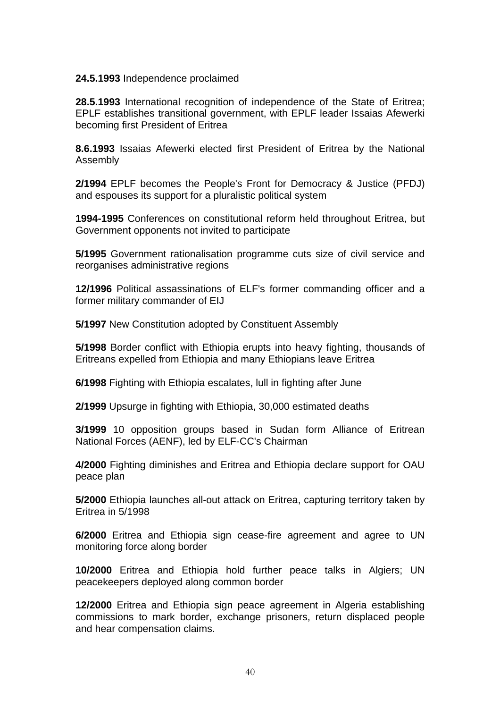**24.5.1993** Independence proclaimed

**28.5.1993** International recognition of independence of the State of Eritrea; EPLF establishes transitional government, with EPLF leader Issaias Afewerki becoming first President of Eritrea

**8.6.1993** Issaias Afewerki elected first President of Eritrea by the National Assembly

**2/1994** EPLF becomes the People's Front for Democracy & Justice (PFDJ) and espouses its support for a pluralistic political system

**1994-1995** Conferences on constitutional reform held throughout Eritrea, but Government opponents not invited to participate

**5/1995** Government rationalisation programme cuts size of civil service and reorganises administrative regions

**12/1996** Political assassinations of ELF's former commanding officer and a former military commander of EIJ

**5/1997** New Constitution adopted by Constituent Assembly

**5/1998** Border conflict with Ethiopia erupts into heavy fighting, thousands of Eritreans expelled from Ethiopia and many Ethiopians leave Eritrea

**6/1998** Fighting with Ethiopia escalates, lull in fighting after June

**2/1999** Upsurge in fighting with Ethiopia, 30,000 estimated deaths

**3/1999** 10 opposition groups based in Sudan form Alliance of Eritrean National Forces (AENF), led by ELF-CC's Chairman

**4/2000** Fighting diminishes and Eritrea and Ethiopia declare support for OAU peace plan

**5/2000** Ethiopia launches all-out attack on Eritrea, capturing territory taken by Eritrea in 5/1998

**6/2000** Eritrea and Ethiopia sign cease-fire agreement and agree to UN monitoring force along border

**10/2000** Eritrea and Ethiopia hold further peace talks in Algiers; UN peacekeepers deployed along common border

**12/2000** Eritrea and Ethiopia sign peace agreement in Algeria establishing commissions to mark border, exchange prisoners, return displaced people and hear compensation claims.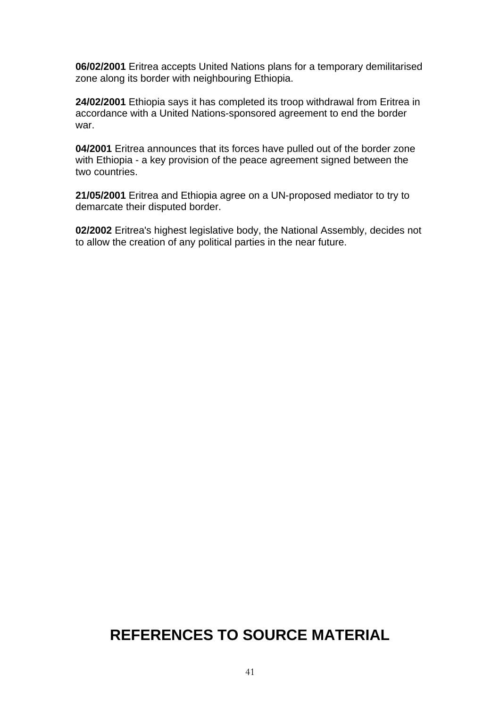<span id="page-40-0"></span>**06/02/2001** Eritrea accepts United Nations plans for a temporary demilitarised zone along its border with neighbouring Ethiopia.

**24/02/2001** Ethiopia says it has completed its troop withdrawal from Eritrea in accordance with a United Nations-sponsored agreement to end the border war.

**04/2001** Eritrea announces that its forces have pulled out of the border zone with Ethiopia - a key provision of the peace agreement signed between the two countries.

**21/05/2001** Eritrea and Ethiopia agree on a UN-proposed mediator to try to demarcate their disputed border.

**02/2002** Eritrea's highest legislative body, the National Assembly, decides not to allow the creation of any political parties in the near future.

# **REFERENCES TO SOURCE MATERIAL**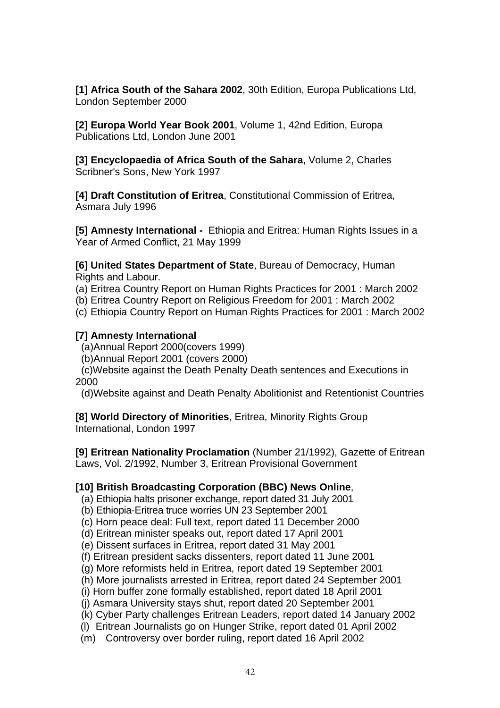**[1] Africa South of the Sahara 2002**, 30th Edition, Europa Publications Ltd, London September 2000

**[2] Europa World Year Book 2001**, Volume 1, 42nd Edition, Europa Publications Ltd, London June 2001

**[3] Encyclopaedia of Africa South of the Sahara**, Volume 2, Charles Scribner's Sons, New York 1997

**[4] Draft Constitution of Eritrea**, Constitutional Commission of Eritrea, Asmara July 1996

**[5] Amnesty International -** Ethiopia and Eritrea: Human Rights Issues in a Year of Armed Conflict, 21 May 1999

**[6] United States Department of State**, Bureau of Democracy, Human Rights and Labour.

(a) Eritrea Country Report on Human Rights Practices for 2001 : March 2002

(b) Eritrea Country Report on Religious Freedom for 2001 : March 2002

(c) Ethiopia Country Report on Human Rights Practices for 2001 : March 2002

### **[7] Amnesty International**

(a)Annual Report 2000(covers 1999)

(b)Annual Report 2001 (covers 2000)

 (c)Website against the Death Penalty Death sentences and Executions in 2000

(d)Website against and Death Penalty Abolitionist and Retentionist Countries

**[8] World Directory of Minorities**, Eritrea, Minority Rights Group International, London 1997

**[9] Eritrean Nationality Proclamation** (Number 21/1992), Gazette of Eritrean Laws, Vol. 2/1992, Number 3, Eritrean Provisional Government

### **[10] British Broadcasting Corporation (BBC) News Online**,

(a) Ethiopia halts prisoner exchange, report dated 31 July 2001

(b) Ethiopia-Eritrea truce worries UN 23 September 2001

(c) Horn peace deal: Full text, report dated 11 December 2000

(d) Eritrean minister speaks out, report dated 17 April 2001

(e) Dissent surfaces in Eritrea, report dated 31 May 2001

(f) Eritrean president sacks dissenters, report dated 11 June 2001

(g) More reformists held in Eritrea, report dated 19 September 2001

(h) More journalists arrested in Eritrea, report dated 24 September 2001

(i) Horn buffer zone formally established, report dated 18 April 2001

(j) Asmara University stays shut, report dated 20 September 2001

(k) Cyber Party challenges Eritrean Leaders, report dated 14 January 2002

(l) Eritrean Journalists go on Hunger Strike, report dated 01 April 2002

(m) Controversy over border ruling, report dated 16 April 2002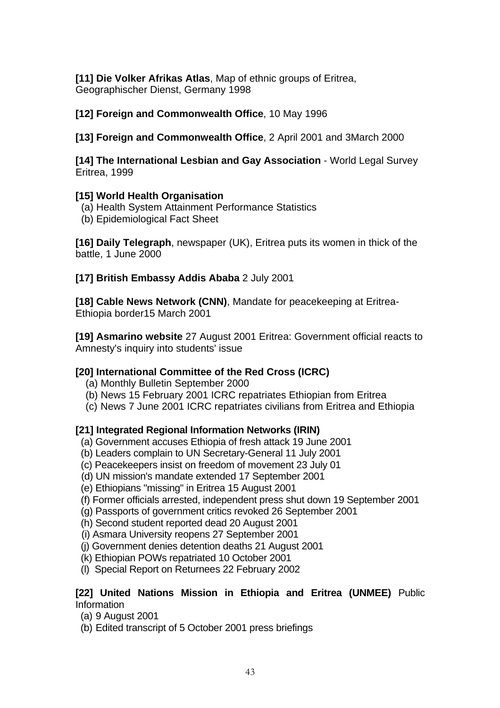**[11] Die Volker Afrikas Atlas**, Map of ethnic groups of Eritrea, Geographischer Dienst, Germany 1998

**[12] Foreign and Commonwealth Office**, 10 May 1996

**[13] Foreign and Commonwealth Office**, 2 April 2001 and 3March 2000

**[14] The International Lesbian and Gay Association** - World Legal Survey Eritrea, 1999

#### **[15] World Health Organisation**

- (a) Health System Attainment Performance Statistics
- (b) Epidemiological Fact Sheet

**[16] Daily Telegraph**, newspaper (UK), Eritrea puts its women in thick of the battle, 1 June 2000

**[17] British Embassy Addis Ababa** 2 July 2001

**[18] Cable News Network (CNN)**, Mandate for peacekeeping at Eritrea-Ethiopia border15 March 2001

**[19] Asmarino website** 27 August 2001 Eritrea: Government official reacts to Amnesty's inquiry into students' issue

### **[20] International Committee of the Red Cross (ICRC)**

- (a) Monthly Bulletin September 2000
- (b) News 15 February 2001 ICRC repatriates Ethiopian from Eritrea
- (c) News 7 June 2001 ICRC repatriates civilians from Eritrea and Ethiopia

#### **[21] Integrated Regional Information Networks (IRIN)**

- (a) Government accuses Ethiopia of fresh attack 19 June 2001
- (b) Leaders complain to UN Secretary-General 11 July 2001
- (c) Peacekeepers insist on freedom of movement 23 July 01
- (d) UN mission's mandate extended 17 September 2001
- (e) Ethiopians "missing" in Eritrea 15 August 2001
- (f) Former officials arrested, independent press shut down 19 September 2001
- (g) Passports of government critics revoked 26 September 2001
- (h) Second student reported dead 20 August 2001
- (i) Asmara University reopens 27 September 2001
- (j) Government denies detention deaths 21 August 2001
- (k) Ethiopian POWs repatriated 10 October 2001
- (l) Special Report on Returnees 22 February 2002

#### **[22] United Nations Mission in Ethiopia and Eritrea (UNMEE)** Public Information

- (a) 9 August 2001
- (b) Edited transcript of 5 October 2001 press briefings